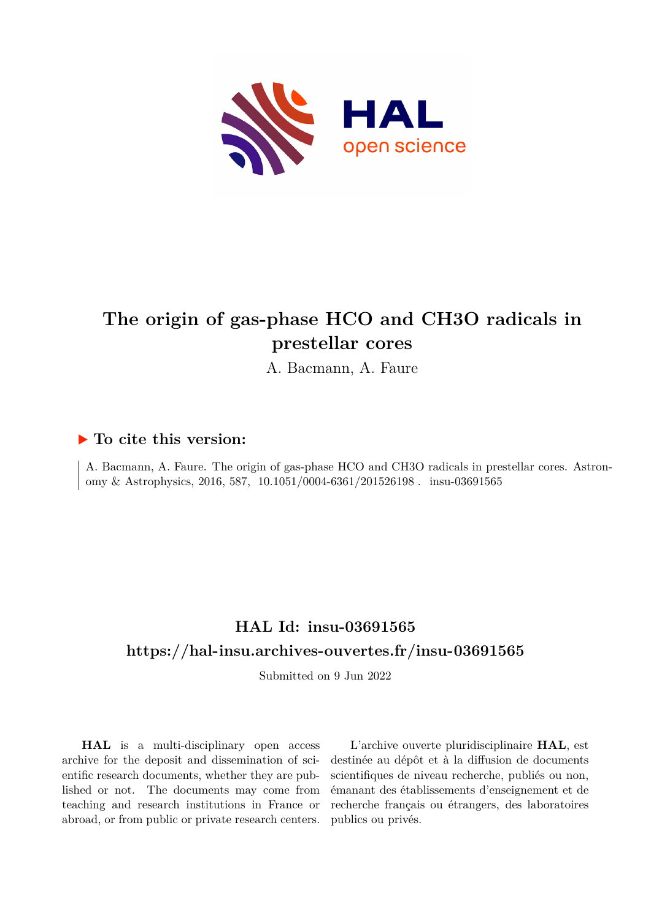

# **The origin of gas-phase HCO and CH3O radicals in prestellar cores**

A. Bacmann, A. Faure

# **To cite this version:**

A. Bacmann, A. Faure. The origin of gas-phase HCO and CH3O radicals in prestellar cores. Astronomy & Astrophysics, 2016, 587, 10.1051/0004-6361/201526198. insu-03691565

# **HAL Id: insu-03691565 <https://hal-insu.archives-ouvertes.fr/insu-03691565>**

Submitted on 9 Jun 2022

**HAL** is a multi-disciplinary open access archive for the deposit and dissemination of scientific research documents, whether they are published or not. The documents may come from teaching and research institutions in France or abroad, or from public or private research centers.

L'archive ouverte pluridisciplinaire **HAL**, est destinée au dépôt et à la diffusion de documents scientifiques de niveau recherche, publiés ou non, émanant des établissements d'enseignement et de recherche français ou étrangers, des laboratoires publics ou privés.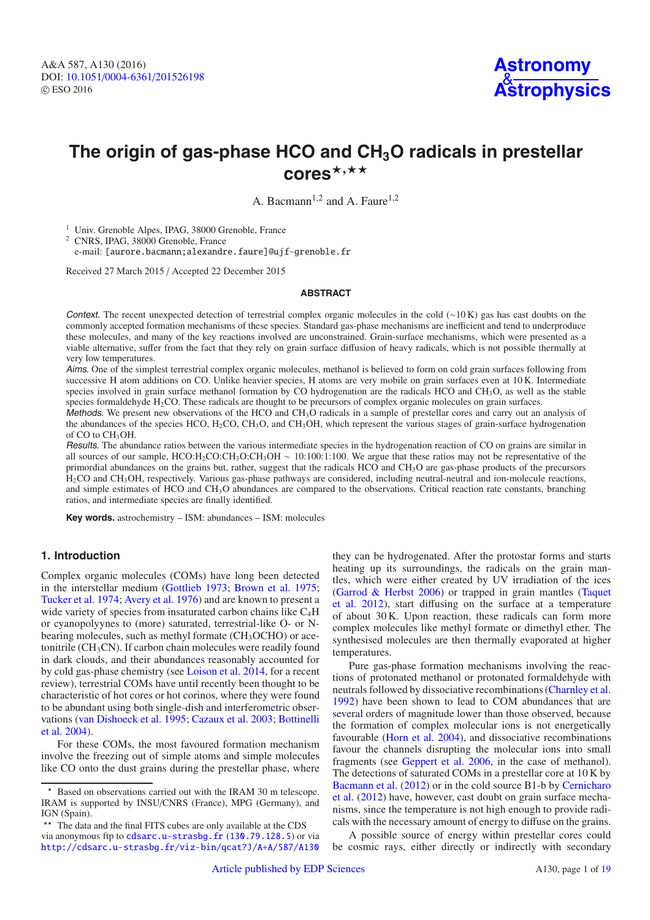# **The origin of gas-phase HCO and CH3O radicals in prestellar** cores\*<sup>,\*\*</sup>

A. Bacmann<sup>1,2</sup> and A. Faure<sup>1,2</sup>

<sup>1</sup> Univ. Grenoble Alpes, IPAG, 38000 Grenoble, France

<sup>2</sup> CNRS, IPAG, 38000 Grenoble, France

e-mail: [aurore.bacmann;alexandre.faure]@ujf-grenoble.fr

Received 27 March 2015 / Accepted 22 December 2015

#### **ABSTRACT**

Context. The recent unexpected detection of terrestrial complex organic molecules in the cold (∼10 K) gas has cast doubts on the commonly accepted formation mechanisms of these species. Standard gas-phase mechanisms are inefficient and tend to underproduce these molecules, and many of the key reactions involved are unconstrained. Grain-surface mechanisms, which were presented as a viable alternative, suffer from the fact that they rely on grain surface diffusion of heavy radicals, which is not possible thermally at very low temperatures.

Aims. One of the simplest terrestrial complex organic molecules, methanol is believed to form on cold grain surfaces following from successive H atom additions on CO. Unlike heavier species, H atoms are very mobile on grain surfaces even at 10 K. Intermediate species involved in grain surface methanol formation by CO hydrogenation are the radicals HCO and  $CH_3O$ , as well as the stable species formaldehyde H<sub>2</sub>CO. These radicals are thought to be precursors of complex organic molecules on grain surfaces.

Methods. We present new observations of the HCO and  $CH<sub>3</sub>O$  radicals in a sample of prestellar cores and carry out an analysis of the abundances of the species HCO, H2CO, CH3O, and CH3OH, which represent the various stages of grain-surface hydrogenation of CO to CH<sub>3</sub>OH.

Results. The abundance ratios between the various intermediate species in the hydrogenation reaction of CO on grains are similar in all sources of our sample, HCO:H<sub>2</sub>CO:CH<sub>3</sub>O:CH<sub>3</sub>OH ∼ 10:100:1:100. We argue that these ratios may not be representative of the primordial abundances on the grains but, rather, suggest that the radicals HCO and CH3O are gas-phase products of the precursors H2CO and CH3OH, respectively. Various gas-phase pathways are considered, including neutral-neutral and ion-molecule reactions, and simple estimates of HCO and CH3O abundances are compared to the observations. Critical reaction rate constants, branching ratios, and intermediate species are finally identified.

**Key words.** astrochemistry – ISM: abundances – ISM: molecules

## **1. Introduction**

Complex organic molecules (COMs) have long been detected in the interstellar medium (Gottlieb 1973; Brown et al. 1975; Tucker et al. 1974; Avery et al. 1976) and are known to present a wide variety of species from insaturated carbon chains like C<sub>4</sub>H or cyanopolyynes to (more) saturated, terrestrial-like O- or Nbearing molecules, such as methyl formate (CH<sub>3</sub>OCHO) or acetonitrile  $(CH<sub>3</sub>CN)$ . If carbon chain molecules were readily found in dark clouds, and their abundances reasonably accounted for by cold gas-phase chemistry (see Loison et al. 2014, for a recent review), terrestrial COMs have until recently been thought to be characteristic of hot cores or hot corinos, where they were found to be abundant using both single-dish and interferometric observations (van Dishoeck et al. 1995; Cazaux et al. 2003; Bottinelli et al. 2004).

For these COMs, the most favoured formation mechanism involve the freezing out of simple atoms and simple molecules like CO onto the dust grains during the prestellar phase, where they can be hydrogenated. After the protostar forms and starts heating up its surroundings, the radicals on the grain mantles, which were either created by UV irradiation of the ices (Garrod & Herbst 2006) or trapped in grain mantles (Taquet et al. 2012), start diffusing on the surface at a temperature of about 30 K. Upon reaction, these radicals can form more complex molecules like methyl formate or dimethyl ether. The synthesised molecules are then thermally evaporated at higher temperatures.

Pure gas-phase formation mechanisms involving the reactions of protonated methanol or protonated formaldehyde with neutrals followed by dissociative recombinations (Charnley et al. 1992) have been shown to lead to COM abundances that are several orders of magnitude lower than those observed, because the formation of complex molecular ions is not energetically favourable (Horn et al. 2004), and dissociative recombinations favour the channels disrupting the molecular ions into small fragments (see Geppert et al. 2006, in the case of methanol). The detections of saturated COMs in a prestellar core at 10 K by Bacmann et al. (2012) or in the cold source B1-b by Cernicharo et al. (2012) have, however, cast doubt on grain surface mechanisms, since the temperature is not high enough to provide radicals with the necessary amount of energy to diffuse on the grains.

A possible source of energy within prestellar cores could be cosmic rays, either directly or indirectly with secondary

<sup>-</sup> Based on observations carried out with the IRAM 30 m telescope. IRAM is supported by INSU/CNRS (France), MPG (Germany), and IGN (Spain).

<sup>\*\*</sup> The data and the final FITS cubes are only available at the CDS via anonymous ftp to [cdsarc.u-strasbg.fr](http://cdsarc.u-strasbg.fr) ([130.79.128.5](ftp://130.79.128.5)) or via <http://cdsarc.u-strasbg.fr/viz-bin/qcat?J/A+A/587/A130>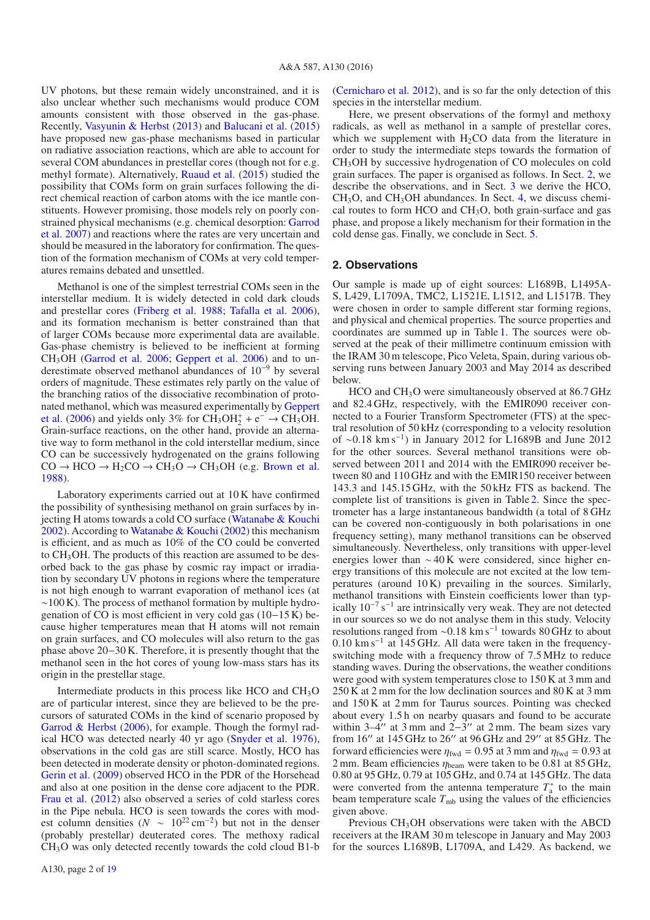UV photons, but these remain widely unconstrained, and it is also unclear whether such mechanisms would produce COM amounts consistent with those observed in the gas-phase. Recently, Vasyunin & Herbst (2013) and Balucani et al. (2015) have proposed new gas-phase mechanisms based in particular on radiative association reactions, which are able to account for several COM abundances in prestellar cores (though not for e.g. methyl formate). Alternatively, Ruaud et al. (2015) studied the possibility that COMs form on grain surfaces following the direct chemical reaction of carbon atoms with the ice mantle constituents. However promising, those models rely on poorly constrained physical mechanisms (e.g. chemical desorption: Garrod et al. 2007) and reactions where the rates are very uncertain and should be measured in the laboratory for confirmation. The question of the formation mechanism of COMs at very cold temperatures remains debated and unsettled.

Methanol is one of the simplest terrestrial COMs seen in the interstellar medium. It is widely detected in cold dark clouds and prestellar cores (Friberg et al. 1988; Tafalla et al. 2006), and its formation mechanism is better constrained than that of larger COMs because more experimental data are available. Gas-phase chemistry is believed to be inefficient at forming CH3OH (Garrod et al. 2006; Geppert et al. 2006) and to underestimate observed methanol abundances of 10−<sup>9</sup> by several orders of magnitude. These estimates rely partly on the value of the branching ratios of the dissociative recombination of protonated methanol, which was measured experimentally by Geppert et al. (2006) and yields only 3% for  $CH_3OH_2^+ + e^- \rightarrow CH_3OH$ . Grain-surface reactions, on the other hand, provide an alternative way to form methanol in the cold interstellar medium, since CO can be successively hydrogenated on the grains following  $CO \rightarrow HCO \rightarrow H_2CO \rightarrow CH_3O \rightarrow CH_3OH$  (e.g. Brown et al. 1988).

Laboratory experiments carried out at 10 K have confirmed the possibility of synthesising methanol on grain surfaces by injecting H atoms towards a cold CO surface (Watanabe & Kouchi 2002). According to Watanabe & Kouchi (2002) this mechanism is efficient, and as much as 10% of the CO could be converted to CH3OH. The products of this reaction are assumed to be desorbed back to the gas phase by cosmic ray impact or irradiation by secondary UV photons in regions where the temperature is not high enough to warrant evaporation of methanol ices (at  $~\sim$ 100 K). The process of methanol formation by multiple hydrogenation of CO is most efficient in very cold gas (10−15 K) because higher temperatures mean that H atoms will not remain on grain surfaces, and CO molecules will also return to the gas phase above 20−30 K. Therefore, it is presently thought that the methanol seen in the hot cores of young low-mass stars has its origin in the prestellar stage.

Intermediate products in this process like HCO and CH3O are of particular interest, since they are believed to be the precursors of saturated COMs in the kind of scenario proposed by Garrod & Herbst (2006), for example. Though the formyl radical HCO was detected nearly 40 yr ago (Snyder et al. 1976), observations in the cold gas are still scarce. Mostly, HCO has been detected in moderate density or photon-dominated regions. Gerin et al. (2009) observed HCO in the PDR of the Horsehead and also at one position in the dense core adjacent to the PDR. Frau et al. (2012) also observed a series of cold starless cores in the Pipe nebula. HCO is seen towards the cores with modest column densities ( $N \sim 10^{22} \text{ cm}^{-2}$ ) but not in the denser (probably prestellar) deuterated cores. The methoxy radical CH3O was only detected recently towards the cold cloud B1-b

A130, page 2 of 19

(Cernicharo et al. 2012), and is so far the only detection of this species in the interstellar medium.

Here, we present observations of the formyl and methoxy radicals, as well as methanol in a sample of prestellar cores, which we supplement with  $H_2CO$  data from the literature in order to study the intermediate steps towards the formation of CH3OH by successive hydrogenation of CO molecules on cold grain surfaces. The paper is organised as follows. In Sect. 2, we describe the observations, and in Sect. 3 we derive the HCO, CH3O, and CH3OH abundances. In Sect. 4, we discuss chemical routes to form HCO and CH3O, both grain-surface and gas phase, and propose a likely mechanism for their formation in the cold dense gas. Finally, we conclude in Sect. 5.

#### **2. Observations**

Our sample is made up of eight sources: L1689B, L1495A-S, L429, L1709A, TMC2, L1521E, L1512, and L1517B. They were chosen in order to sample different star forming regions, and physical and chemical properties. The source properties and coordinates are summed up in Table 1. The sources were observed at the peak of their millimetre continuum emission with the IRAM 30 m telescope, Pico Veleta, Spain, during various observing runs between January 2003 and May 2014 as described below.

HCO and CH3O were simultaneously observed at 86.7 GHz and 82.4 GHz, respectively, with the EMIR090 receiver connected to a Fourier Transform Spectrometer (FTS) at the spectral resolution of 50 kHz (corresponding to a velocity resolution of ∼0.18 km s−1) in January 2012 for L1689B and June 2012 for the other sources. Several methanol transitions were observed between 2011 and 2014 with the EMIR090 receiver between 80 and 110 GHz and with the EMIR150 receiver between 143.3 and 145.15 GHz, with the 50 kHz FTS as backend. The complete list of transitions is given in Table 2. Since the spectrometer has a large instantaneous bandwidth (a total of 8 GHz can be covered non-contiguously in both polarisations in one frequency setting), many methanol transitions can be observed simultaneously. Nevertheless, only transitions with upper-level energies lower than ∼ 40 K were considered, since higher energy transitions of this molecule are not excited at the low temperatures (around 10 K) prevailing in the sources. Similarly, methanol transitions with Einstein coefficients lower than typically  $10^{-7}$  s<sup>-1</sup> are intrinsically very weak. They are not detected in our sources so we do not analyse them in this study. Velocity resolutions ranged from ~0.18 km s<sup>-1</sup> towards 80 GHz to about 0.10 km s−<sup>1</sup> at 145 GHz. All data were taken in the frequencyswitching mode with a frequency throw of 7.5 MHz to reduce standing waves. During the observations, the weather conditions were good with system temperatures close to 150 K at 3 mm and 250 K at 2 mm for the low declination sources and 80 K at 3 mm and 150 K at 2 mm for Taurus sources. Pointing was checked about every 1.5 h on nearby quasars and found to be accurate within  $3-4$ " at 3 mm and  $2-3$ " at 2 mm. The beam sizes vary from 16" at 145 GHz to 26" at 96 GHz and 29" at 85 GHz. The forward efficiencies were  $\eta_{fwd} = 0.95$  at 3 mm and  $\eta_{fwd} = 0.93$  at 2 mm. Beam efficiencies  $\eta_{\text{beam}}$  were taken to be 0.81 at 85 GHz, 0.80 at 95 GHz, 0.79 at 105 GHz, and 0.74 at 145 GHz. The data were converted from the antenna temperature  $T_a^*$  to the main beam temperature scale  $T_{\rm mb}$  using the values of the efficiencies given above.

Previous CH<sub>3</sub>OH observations were taken with the ABCD receivers at the IRAM 30 m telescope in January and May 2003 for the sources L1689B, L1709A, and L429. As backend, we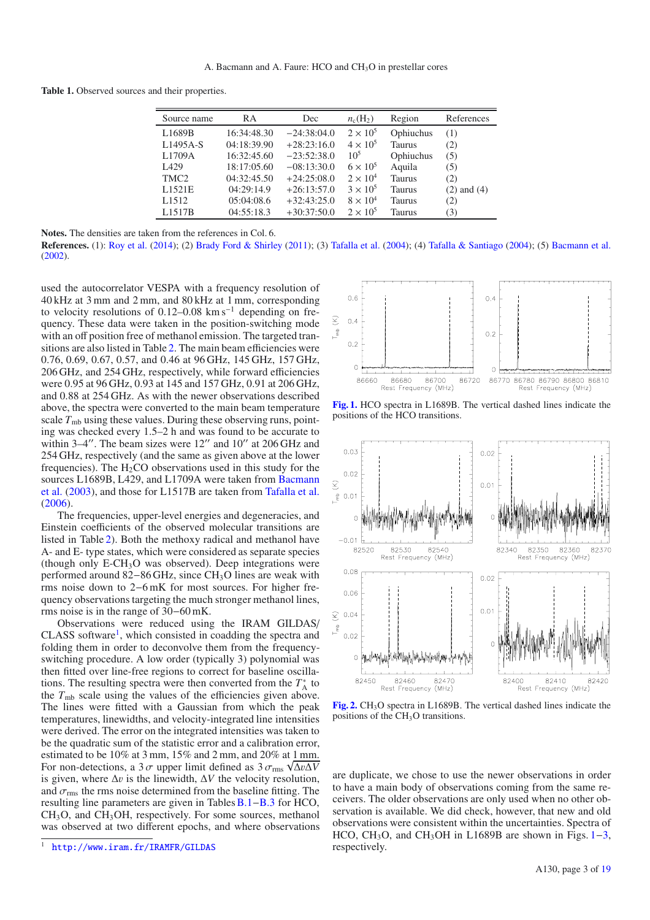**Table 1.** Observed sources and their properties.

| Source name       | <b>RA</b>   | Dec           | $n_c(H_2)$      | Region        | References      |
|-------------------|-------------|---------------|-----------------|---------------|-----------------|
| L1689B            | 16:34:48.30 | $-24:38:04.0$ | $2 \times 10^5$ | Ophiuchus     | (1)             |
| L1495A-S          | 04:18:39.90 | $+28:23:16.0$ | $4 \times 10^5$ | Taurus        | (2)             |
| L1709A            | 16:32:45.60 | $-23:52:38.0$ | 10 <sup>5</sup> | Ophiuchus     | (5)             |
| I 429             | 18:17:05.60 | $-08:13:30.0$ | $6 \times 10^5$ | Aquila        | (5)             |
| TMC <sub>2</sub>  | 04:32:45.50 | $+24:25:08.0$ | $2 \times 10^4$ | <b>Taurus</b> | (2)             |
| L1521E            | 04:29:14.9  | $+26:13:57.0$ | $3 \times 10^5$ | <b>Taurus</b> | $(2)$ and $(4)$ |
| L <sub>1512</sub> | 05:04:08.6  | $+32:43:25.0$ | $8 \times 10^4$ | Taurus        | (2)             |
| L1517B            | 04:55:18.3  | $+30:37:50.0$ | $2 \times 10^5$ | Taurus        | (3)             |
|                   |             |               |                 |               |                 |

**Notes.** The densities are taken from the references in Col. 6.

**References.** (1): Roy et al. (2014); (2) Brady Ford & Shirley (2011); (3) Tafalla et al. (2004); (4) Tafalla & Santiago (2004); (5) Bacmann et al. (2002).

used the autocorrelator VESPA with a frequency resolution of 40 kHz at 3 mm and 2 mm, and 80 kHz at 1 mm, corresponding to velocity resolutions of 0.12–0.08 km s−<sup>1</sup> depending on frequency. These data were taken in the position-switching mode with an off position free of methanol emission. The targeted transitions are also listed in Table 2. The main beam efficiencies were 0.76, 0.69, 0.67, 0.57, and 0.46 at 96 GHz, 145 GHz, 157 GHz, 206 GHz, and 254 GHz, respectively, while forward efficiencies were 0.95 at 96 GHz, 0.93 at 145 and 157 GHz, 0.91 at 206 GHz, and 0.88 at 254 GHz. As with the newer observations described above, the spectra were converted to the main beam temperature scale  $T_{\rm mb}$  using these values. During these observing runs, pointing was checked every 1.5–2 h and was found to be accurate to within  $3-4$ ". The beam sizes were  $12$ " and  $10$ " at  $206$  GHz and 254 GHz, respectively (and the same as given above at the lower frequencies). The  $H_2CO$  observations used in this study for the sources L1689B, L429, and L1709A were taken from Bacmann et al. (2003), and those for L1517B are taken from Tafalla et al. (2006).

The frequencies, upper-level energies and degeneracies, and Einstein coefficients of the observed molecular transitions are listed in Table 2). Both the methoxy radical and methanol have A- and E- type states, which were considered as separate species (though only  $E\text{-}CH_3O$  was observed). Deep integrations were performed around 82–86 GHz, since CH<sub>3</sub>O lines are weak with rms noise down to 2−6 mK for most sources. For higher frequency observations targeting the much stronger methanol lines, rms noise is in the range of 30−60 mK.

Observations were reduced using the IRAM GILDAS/ CLASS software<sup>1</sup>, which consisted in coadding the spectra and folding them in order to deconvolve them from the frequencyswitching procedure. A low order (typically 3) polynomial was then fitted over line-free regions to correct for baseline oscillations. The resulting spectra were then converted from the *T*<sup>∗</sup> <sup>A</sup> to the  $T_{\rm mb}$  scale using the values of the efficiencies given above. The lines were fitted with a Gaussian from which the peak temperatures, linewidths, and velocity-integrated line intensities were derived. The error on the integrated intensities was taken to be the quadratic sum of the statistic error and a calibration error, estimated to be 10% at 3 mm, 15% and 2 mm, and 20% at 1 mm. For non-detections, a  $3\sigma$  upper limit defined as  $3\sigma_{\text{rms}}\sqrt{\Delta v \Delta V}$ <br>is given where  $\Delta v$  is the linewidth  $\Delta V$  the velocity resolution is given, where  $\Delta v$  is the linewidth,  $\Delta V$  the velocity resolution, and  $\sigma_{\rm rms}$  the rms noise determined from the baseline fitting. The resulting line parameters are given in Tables B.1−B.3 for HCO, CH3O, and CH3OH, respectively. For some sources, methanol was observed at two different epochs, and where observations



**[Fig. 1.](http://dexter.edpsciences.org/applet.php?DOI=10.1051/0004-6361/201526198&pdf_id=1)** HCO spectra in L1689B. The vertical dashed lines indicate the positions of the HCO transitions.



**[Fig. 2.](http://dexter.edpsciences.org/applet.php?DOI=10.1051/0004-6361/201526198&pdf_id=2)** CH3O spectra in L1689B. The vertical dashed lines indicate the positions of the CH<sub>3</sub>O transitions.

are duplicate, we chose to use the newer observations in order to have a main body of observations coming from the same receivers. The older observations are only used when no other observation is available. We did check, however, that new and old observations were consistent within the uncertainties. Spectra of HCO, CH<sub>3</sub>O, and CH<sub>3</sub>OH in L1689B are shown in Figs.  $1-3$ , respectively.

<sup>1</sup> <http://www.iram.fr/IRAMFR/GILDAS>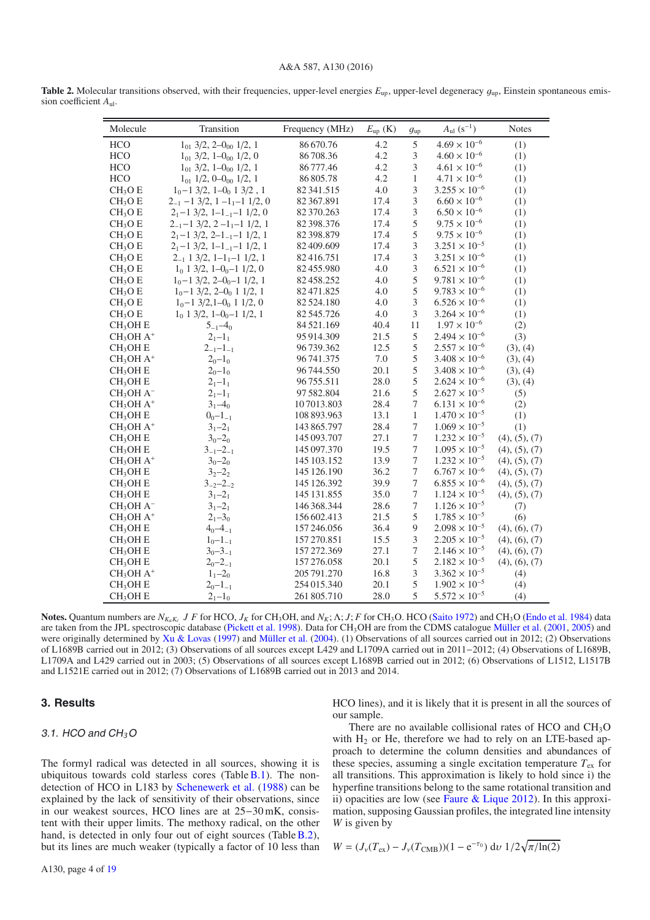#### A&A 587, A130 (2016)

| Molecule             | Transition                                   | Frequency (MHz) | $E_{\text{up}}$ (K) | $g_{\rm up}$                | $A_{\rm ul}$ $(s^{-1})$ | <b>Notes</b>  |
|----------------------|----------------------------------------------|-----------------|---------------------|-----------------------------|-------------------------|---------------|
| <b>HCO</b>           | $101$ 3/2, 2-0 $00$ 1/2, 1                   | 86 670.76       | 4.2                 | 5                           | $4.69 \times 10^{-6}$   | (1)           |
| HCO                  | $1_{01}$ 3/2, 1–0 <sub>00</sub> 1/2, 0       | 86708.36        | 4.2                 | 3                           | $4.60 \times 10^{-6}$   | (1)           |
| HCO                  | $1_{01}$ 3/2, 1-0 <sub>00</sub> 1/2, 1       | 86777.46        | 4.2                 | $\ensuremath{\mathfrak{Z}}$ | $4.61 \times 10^{-6}$   | (1)           |
| <b>HCO</b>           | $1_{01}$ 1/2, 0–0 <sub>00</sub> 1/2, 1       | 86 805.78       | 4.2                 | $\mathbf{1}$                | $4.71 \times 10^{-6}$   | (1)           |
| CH <sub>3</sub> O E  | $1_0-1$ 3/2, $1-0_0$ 1 3/2, 1                | 82341.515       | 4.0                 | $\mathfrak{Z}$              | $3.255 \times 10^{-6}$  | (1)           |
| CH <sub>3</sub> O E  | $2_{-1}$ -1 3/2, 1 -1 <sub>1</sub> -1 1/2, 0 | 82 367.891      | 17.4                | $\ensuremath{\mathfrak{Z}}$ | $6.60 \times 10^{-6}$   | (1)           |
| CH <sub>3</sub> O E  | $21-1$ 3/2, 1-1 <sub>-1</sub> -1 1/2, 0      | 82370.263       | 17.4                | $\mathfrak 3$               | $6.50 \times 10^{-6}$   | (1)           |
| CH <sub>3</sub> O E  | $2_{-1}$ -1 3/2, 2-1 <sub>1</sub> -1 1/2, 1  | 82 398.376      | 17.4                | $\mathfrak s$               | $9.75\times10^{-6}$     | (1)           |
| CH <sub>3</sub> O E  | $21-1$ 3/2, 2-1 <sub>-1</sub> -1 1/2, 1      | 82 398.879      | 17.4                | 5                           | $9.75 \times 10^{-6}$   | (1)           |
| CH <sub>3</sub> O E  | $21-1$ 3/2, 1-1 <sub>-1</sub> -1 1/2, 1      | 82 409.609      | 17.4                | 3                           | $3.251 \times 10^{-5}$  | (1)           |
| CH <sub>3</sub> O E  | $2_{-1}$ 1 3/2, 1-1 <sub>1</sub> -1 1/2, 1   | 82416.751       | 17.4                | $\mathfrak 3$               | $3.251 \times 10^{-6}$  | (1)           |
| CH <sub>3</sub> O E  | $1_0$ 1 3/2, 1-0 <sub>0</sub> -1 1/2, 0      | 82455.980       | 4.0                 | $\mathfrak 3$               | $6.521 \times 10^{-6}$  | (1)           |
| CH <sub>3</sub> O E  | $1_0-1$ 3/2, 2-0 <sub>0</sub> -1 1/2, 1      | 82458.252       | 4.0                 | 5                           | $9.781 \times 10^{-6}$  | (1)           |
| CH <sub>3</sub> O E  | $1_0-1$ 3/2, 2-0 <sub>0</sub> 1 1/2, 1       | 82471.825       | 4.0                 | $\mathfrak s$               | $9.783 \times 10^{-6}$  | (1)           |
| CH <sub>3</sub> O E  | $1_0 - 1$ 3/2, 1-0 <sub>0</sub> 1 1/2, 0     | 82 524.180      | 4.0                 | $\mathfrak{Z}$              | $6.526 \times 10^{-6}$  | (1)           |
| CH <sub>3</sub> O E  | $1_0$ 1 3/2, 1-0 <sub>0</sub> -1 1/2, 1      | 82545.726       | 4.0                 | 3                           | $3.264 \times 10^{-6}$  | (1)           |
| CH <sub>3</sub> OH E | $5_{-1}$ -4 <sub>0</sub>                     | 84 521.169      | 40.4                | 11                          | $1.97 \times 10^{-6}$   | (2)           |
| $CH3OH A+$           | $21-11$                                      | 95 914.309      | 21.5                | $\mathfrak s$               | $2.494 \times 10^{-6}$  | (3)           |
| CH <sub>3</sub> OH E | $2_{-1}-1_{-1}$                              | 96739.362       | 12.5                | $\mathfrak s$               | $2.557 \times 10^{-6}$  | (3), (4)      |
| $CH3OH A+$           | $2_0 - 1_0$                                  | 96 741.375      | 7.0                 | $\mathfrak s$               | $3.408 \times 10^{-6}$  | (3), (4)      |
| CH <sub>3</sub> OH E | $2_0 - 1_0$                                  | 96744.550       | 20.1                | $\mathfrak s$               | $3.408 \times 10^{-6}$  | (3), (4)      |
| $CH3OH$ E            | $21-11$                                      | 96755.511       | 28.0                | $\mathfrak s$               | $2.624 \times 10^{-6}$  | (3), (4)      |
| $CH3OH A-$           | $21-11$                                      | 97 582.804      | 21.6                | 5                           | $2.627 \times 10^{-5}$  | (5)           |
| $CH3OH A+$           | $31-40$                                      | 107013.803      | 28.4                | $\boldsymbol{7}$            | $6.131 \times 10^{-6}$  | (2)           |
| CH <sub>3</sub> OH E | $0_0 - 1_{-1}$                               | 108 893.963     | 13.1                | $\mathbf{1}$                | $1.470 \times 10^{-5}$  | (1)           |
| $CH3OH A+$           | $31-21$                                      | 143 865.797     | 28.4                | $\boldsymbol{7}$            | $1.069 \times 10^{-5}$  | (1)           |
| $CH3OH$ E            | $3_0 - 2_0$                                  | 145 093.707     | 27.1                | $\boldsymbol{7}$            | $1.232 \times 10^{-5}$  | (4), (5), (7) |
| CH <sub>3</sub> OH E | $3_{-1} - 2_{-1}$                            | 145 097.370     | 19.5                | $\boldsymbol{7}$            | $1.095 \times 10^{-5}$  | (4), (5), (7) |
| $CH3OH A+$           | $3_0 - 2_0$                                  | 145 103.152     | 13.9                | $\boldsymbol{7}$            | $1.232 \times 10^{-5}$  | (4), (5), (7) |
| CH <sub>3</sub> OH E | $3_2 - 2_2$                                  | 145 126.190     | 36.2                | $\boldsymbol{7}$            | $6.767 \times 10^{-6}$  | (4), (5), (7) |
| $CH3OH$ E            | $3 - 2 - 2 - 2$                              | 145 126.392     | 39.9                | $\boldsymbol{7}$            | $6.855 \times 10^{-6}$  | (4), (5), (7) |
| $CH3OH$ E            | $31-21$                                      | 145 131.855     | 35.0                | $\tau$                      | $1.124 \times 10^{-5}$  | (4), (5), (7) |
| $CH3OH A-$           | $31-21$                                      | 146 368.344     | 28.6                | $\boldsymbol{7}$            | $1.126 \times 10^{-5}$  | (7)           |
| $CH3OH A+$           | $21-30$                                      | 156 602.413     | 21.5                | $\mathfrak s$               | $1.785 \times 10^{-5}$  | (6)           |
| CH <sub>3</sub> OH E | $4_0 - 4_{-1}$                               | 157 246.056     | 36.4                | $\overline{9}$              | $2.098 \times 10^{-5}$  | (4), (6), (7) |
| CH <sub>3</sub> OH E | $1_0 - 1_{-1}$                               | 157 270.851     | 15.5                | $\ensuremath{\mathfrak{Z}}$ | $2.205 \times 10^{-5}$  | (4), (6), (7) |
| CH <sub>3</sub> OH E | $3_0 - 3_{-1}$                               | 157 272.369     | 27.1                | $\boldsymbol{7}$            | $2.146 \times 10^{-5}$  | (4), (6), (7) |
| $CH3OH$ E            | $2_0 - 2_{-1}$                               | 157 276.058     | 20.1                | $\mathfrak s$               | $2.182 \times 10^{-5}$  | (4), (6), (7) |
| $CH3OH A+$           | $1_1 - 2_0$                                  | 205 791.270     | 16.8                | $\mathfrak{Z}$              | $3.362 \times 10^{-5}$  | (4)           |
| CH <sub>3</sub> OH E | $20 - 1 - 1$                                 | 254 015.340     | 20.1                | 5                           | $1.902 \times 10^{-5}$  | (4)           |
| CH <sub>3</sub> OH E | $21-10$                                      | 261 805.710     | 28.0                | 5                           | $5.572 \times 10^{-5}$  | (4)           |

**Table 2.** Molecular transitions observed, with their frequencies, upper-level energies  $E_{\rm up}$ , upper-level degeneracy  $g_{\rm up}$ , Einstein spontaneous emission coefficient *A*ul.

**Notes.** Quantum numbers are *NKaKc J F* for HCO, *JK* for CH3OH, and *NK*; Λ; *J*; *F* for CH3O. HCO (Saito 1972) and CH3O (Endo et al. 1984) data are taken from the JPL spectroscopic database (Pickett et al. 1998). Data for CH3OH are from the CDMS catalogue Müller et al. (2001, 2005) and were originally determined by  $Xu \& Lovas$  (1997) and Müller et al. (2004). (1) Observations of all sources carried out in 2012; (2) Observations of L1689B carried out in 2012; (3) Observations of all sources except L429 and L1709A carried out in 2011−2012; (4) Observations of L1689B, L1709A and L429 carried out in 2003; (5) Observations of all sources except L1689B carried out in 2012; (6) Observations of L1512, L1517B and L1521E carried out in 2012; (7) Observations of L1689B carried out in 2013 and 2014.

### **3. Results**

#### 3.1. HCO and CH*3*O

The formyl radical was detected in all sources, showing it is ubiquitous towards cold starless cores (Table  $B.1$ ). The nondetection of HCO in L183 by Schenewerk et al. (1988) can be explained by the lack of sensitivity of their observations, since in our weakest sources, HCO lines are at 25−30 mK, consistent with their upper limits. The methoxy radical, on the other hand, is detected in only four out of eight sources (Table B.2), but its lines are much weaker (typically a factor of 10 less than HCO lines), and it is likely that it is present in all the sources of our sample.

There are no available collisional rates of HCO and  $CH<sub>3</sub>O$ with  $H_2$  or He, therefore we had to rely on an LTE-based approach to determine the column densities and abundances of these species, assuming a single excitation temperature  $T_{ex}$  for all transitions. This approximation is likely to hold since i) the hyperfine transitions belong to the same rotational transition and ii) opacities are low (see Faure & Lique 2012). In this approximation, supposing Gaussian profiles, the integrated line intensity *W* is given by

$$
W = (J_{\nu}(T_{\rm ex}) - J_{\nu}(T_{\rm CMB}))(1 - e^{-\tau_0}) \, \mathrm{d}\nu \, 1/2\sqrt{\pi/\ln(2)}
$$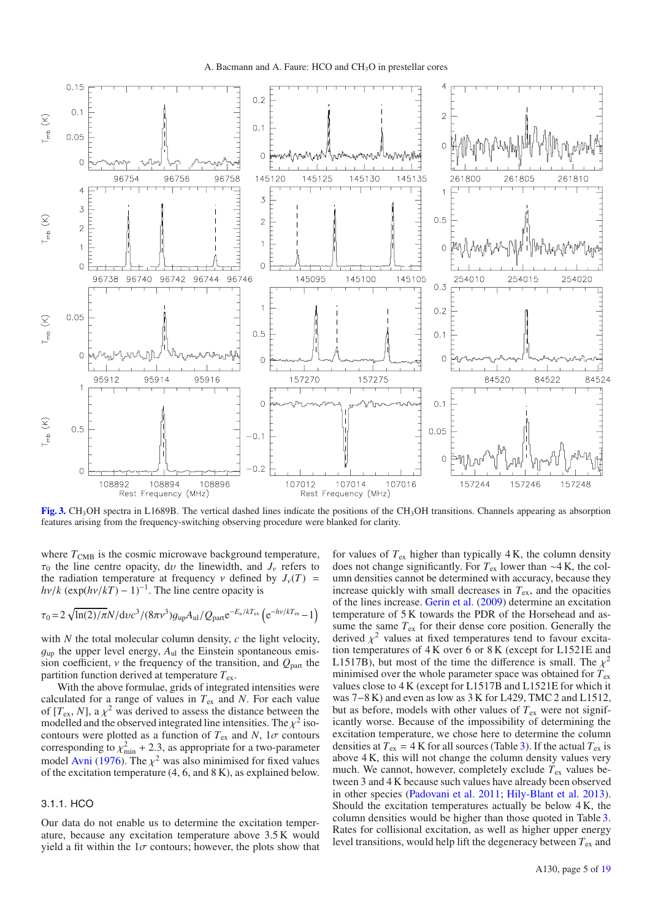

**[Fig. 3.](http://dexter.edpsciences.org/applet.php?DOI=10.1051/0004-6361/201526198&pdf_id=3)** CH3OH spectra in L1689B. The vertical dashed lines indicate the positions of the CH3OH transitions. Channels appearing as absorption features arising from the frequency-switching observing procedure were blanked for clarity.

where  $T_{\text{CMB}}$  is the cosmic microwave background temperature,  $\tau_0$  the line centre opacity, dv the linewidth, and  $J_\nu$  refers to the radiation temperature at frequency  $\nu$  defined by  $J_{\nu}(T)$  =  $h\nu/k$  (exp( $h\nu/kT$ ) − 1)<sup>-1</sup>. The line centre opacity is

$$
\tau_0 = 2\sqrt{\ln(2)/\pi N/\text{d}v c^3/(8\pi v^3)g_{\text{up}}A_{\text{ul}}/Q_{\text{part}}e^{-E_u/kT_{\text{ex}}}}\left(e^{-h\nu/kT_{\text{ex}}}-1\right)
$$

with *N* the total molecular column density, *c* the light velocity,  $g_{\text{up}}$  the upper level energy,  $A_{\text{ul}}$  the Einstein spontaneous emission coefficient,  $\nu$  the frequency of the transition, and  $Q_{part}$  the partition function derived at temperature  $T_{ex}$ .

With the above formulae, grids of integrated intensities were calculated for a range of values in *T*ex and *N*. For each value of  $[T_{\text{ex}}, N]$ , a  $\chi^2$  was derived to assess the distance between the modelled and the observed integrated line intensities. The  $\chi^2$  isocontours were plotted as a function of  $T_{ex}$  and  $N$ ,  $1\sigma$  contours corresponding to  $\chi^2_{\text{min}}$  + 2.3, as appropriate for a two-parameter<br>model Avni (1976). The  $\chi^2$  was also minimised for fixed values model Avni (1976). The  $\chi^2$  was also minimised for fixed values of the excitation temperature (4, 6, and 8 K), as explained below.

#### 3.1.1. HCO

Our data do not enable us to determine the excitation temperature, because any excitation temperature above 3.5 K would yield a fit within the  $1\sigma$  contours; however, the plots show that for values of  $T_{ex}$  higher than typically 4 K, the column density does not change significantly. For *T*ex lower than ∼4 K, the column densities cannot be determined with accuracy, because they increase quickly with small decreases in *T*ex, and the opacities of the lines increase. Gerin et al. (2009) determine an excitation temperature of 5 K towards the PDR of the Horsehead and assume the same  $T_{ex}$  for their dense core position. Generally the derived  $\chi^2$  values at fixed temperatures tend to favour excitation temperatures of 4 K over 6 or 8 K (except for L1521E and L1517B), but most of the time the difference is small. The  $\chi^2$ minimised over the whole parameter space was obtained for *T*ex values close to 4 K (except for L1517B and L1521E for which it was 7−8 K) and even as low as 3 K for L429, TMC 2 and L1512, but as before, models with other values of  $T_{ex}$  were not significantly worse. Because of the impossibility of determining the excitation temperature, we chose here to determine the column densities at  $T_{ex} = 4$  K for all sources (Table 3). If the actual  $T_{ex}$  is above 4 K, this will not change the column density values very much. We cannot, however, completely exclude  $T_{ex}$  values between 3 and 4 K because such values have already been observed in other species (Padovani et al. 2011; Hily-Blant et al. 2013). Should the excitation temperatures actually be below 4 K, the column densities would be higher than those quoted in Table 3. Rates for collisional excitation, as well as higher upper energy level transitions, would help lift the degeneracy between *T*ex and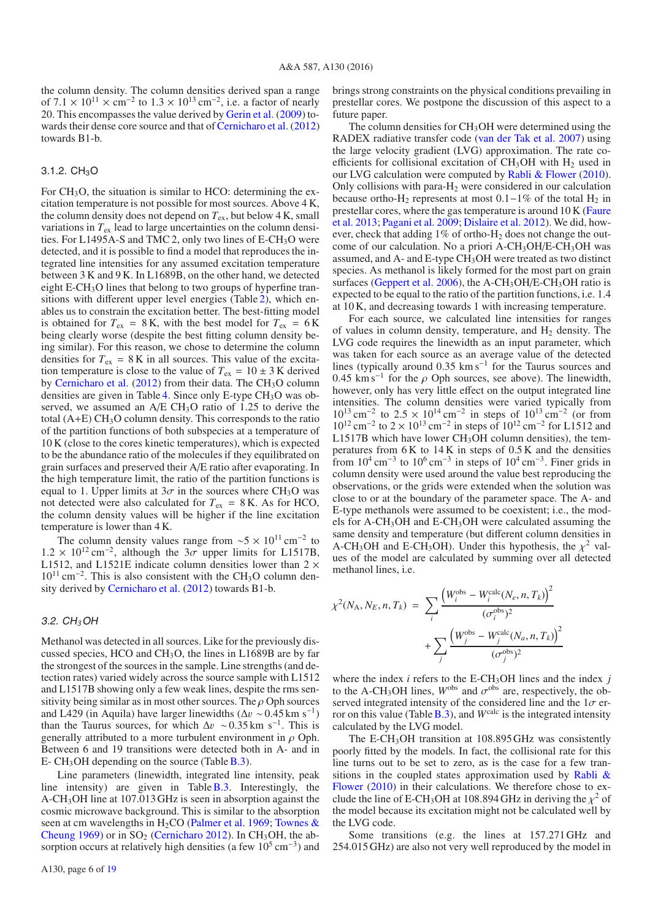the column density. The column densities derived span a range of  $7.1 \times 10^{11} \times \text{cm}^{-2}$  to  $1.3 \times 10^{13} \text{cm}^{-2}$ , i.e. a factor of nearly 20. This encompasses the value derived by Gerin et al. (2009) towards their dense core source and that of Cernicharo et al. (2012) towards B1-b.

#### $3.1.2.$  CH<sub>3</sub>O

For  $CH<sub>3</sub>O$ , the situation is similar to HCO: determining the excitation temperature is not possible for most sources. Above 4 K, the column density does not depend on  $T_{ex}$ , but below 4 K, small variations in  $T_{ex}$  lead to large uncertainties on the column densities. For L1495A-S and TMC 2, only two lines of E-CH<sub>3</sub>O were detected, and it is possible to find a model that reproduces the integrated line intensities for any assumed excitation temperature between 3 K and 9 K. In L1689B, on the other hand, we detected eight E-CH<sub>3</sub>O lines that belong to two groups of hyperfine transitions with different upper level energies (Table 2), which enables us to constrain the excitation better. The best-fitting model is obtained for  $T_{ex} = 8$  K, with the best model for  $T_{ex} = 6$  K being clearly worse (despite the best fitting column density being similar). For this reason, we chose to determine the column densities for  $T_{ex} = 8$  K in all sources. This value of the excitation temperature is close to the value of  $T_{ex} = 10 \pm 3$  K derived by Cernicharo et al.  $(2012)$  from their data. The CH<sub>3</sub>O column densities are given in Table 4. Since only E-type CH<sub>3</sub>O was observed, we assumed an  $A/E CH<sub>3</sub>O$  ratio of 1.25 to derive the total  $(A+E) CH<sub>3</sub>O$  column density. This corresponds to the ratio of the partition functions of both subspecies at a temperature of 10 K (close to the cores kinetic temperatures), which is expected to be the abundance ratio of the molecules if they equilibrated on grain surfaces and preserved their A/E ratio after evaporating. In the high temperature limit, the ratio of the partition functions is equal to 1. Upper limits at  $3\sigma$  in the sources where CH<sub>3</sub>O was not detected were also calculated for  $T_{ex} = 8$  K. As for HCO, the column density values will be higher if the line excitation temperature is lower than 4 K.

The column density values range from  $~\sim 5 \times 10^{11} \text{ cm}^{-2}$  to  $1.2 \times 10^{12}$  cm<sup>-2</sup>, although the 3 $\sigma$  upper limits for L1517B, L1512, and L1521E indicate column densities lower than  $2 \times$  $10^{11}$  cm<sup>-2</sup>. This is also consistent with the CH<sub>3</sub>O column density derived by Cernicharo et al. (2012) towards B1-b.

#### 3.2. CH*3*OH

Methanol was detected in all sources. Like for the previously discussed species, HCO and CH3O, the lines in L1689B are by far the strongest of the sources in the sample. Line strengths (and detection rates) varied widely across the source sample with L1512 and L1517B showing only a few weak lines, despite the rms sensitivity being similar as in most other sources. The  $\rho$  Oph sources and L429 (in Aquila) have larger linewidths ( $\Delta v \sim 0.45$  km s<sup>-1</sup>) than the Taurus sources, for which  $\Delta v \sim 0.35$  km s<sup>-1</sup>. This is generally attributed to a more turbulent environment in  $\rho$  Oph. Between 6 and 19 transitions were detected both in A- and in E-  $CH<sub>3</sub>OH$  depending on the source (Table B.3).

Line parameters (linewidth, integrated line intensity, peak line intensity) are given in Table  $B.3$ . Interestingly, the A-CH3OH line at 107.013 GHz is seen in absorption against the cosmic microwave background. This is similar to the absorption seen at cm wavelengths in H<sub>2</sub>CO (Palmer et al. 1969; Townes & Cheung 1969) or in  $SO_2$  (Cernicharo 2012). In CH<sub>3</sub>OH, the absorption occurs at relatively high densities (a few  $10^5 \text{ cm}^{-3}$ ) and brings strong constraints on the physical conditions prevailing in prestellar cores. We postpone the discussion of this aspect to a future paper.

The column densities for  $CH<sub>3</sub>OH$  were determined using the RADEX radiative transfer code (van der Tak et al. 2007) using the large velocity gradient (LVG) approximation. The rate coefficients for collisional excitation of  $CH<sub>3</sub>OH$  with  $H<sub>2</sub>$  used in our LVG calculation were computed by Rabli & Flower (2010). Only collisions with para- $H<sub>2</sub>$  were considered in our calculation because ortho-H<sub>2</sub> represents at most  $0.1-1\%$  of the total H<sub>2</sub> in prestellar cores, where the gas temperature is around 10 K (Faure et al. 2013; Pagani et al. 2009; Dislaire et al. 2012). We did, however, check that adding  $1\%$  of ortho-H<sub>2</sub> does not change the outcome of our calculation. No a priori A-CH<sub>3</sub>OH/E-CH<sub>3</sub>OH was assumed, and  $A$ - and  $E$ -type  $CH<sub>3</sub>OH$  were treated as two distinct species. As methanol is likely formed for the most part on grain surfaces (Geppert et al. 2006), the A-CH<sub>3</sub>OH/E-CH<sub>3</sub>OH ratio is expected to be equal to the ratio of the partition functions, i.e. 1.4 at 10 K, and decreasing towards 1 with increasing temperature.

For each source, we calculated line intensities for ranges of values in column density, temperature, and  $H_2$  density. The LVG code requires the linewidth as an input parameter, which was taken for each source as an average value of the detected lines (typically around 0.35 km s−<sup>1</sup> for the Taurus sources and 0.45 km s<sup>-1</sup> for the  $\rho$  Oph sources, see above). The linewidth, however, only has very little effect on the output integrated line intensities. The column densities were varied typically from  $10^{13}$  cm<sup>-2</sup> to 2.5 ×  $10^{14}$  cm<sup>-2</sup> in steps of  $10^{13}$  cm<sup>-2</sup> (or from<br> $10^{12}$  cm<sup>-2</sup> to 2 ×  $10^{13}$  cm<sup>-2</sup> in steps of  $10^{12}$  cm<sup>-2</sup> for L1512 and L1517B which have lower  $CH<sub>3</sub>OH$  column densities), the temperatures from  $6K$  to  $14K$  in steps of  $0.5K$  and the densities from  $10^4 \text{ cm}^{-3}$  to  $10^6 \text{ cm}^{-3}$  in steps of  $10^4 \text{ cm}^{-3}$ . Finer grids in column density were used around the value best reproducing the observations, or the grids were extended when the solution was close to or at the boundary of the parameter space. The A- and E-type methanols were assumed to be coexistent; i.e., the models for A-CH3OH and E-CH3OH were calculated assuming the same density and temperature (but different column densities in A-CH<sub>3</sub>OH and E-CH<sub>3</sub>OH). Under this hypothesis, the  $\chi^2$  values of the model are calculated by summing over all detected methanol lines, i.e.

$$
\chi^{2}(N_{A}, N_{E}, n, T_{k}) = \sum_{i} \frac{(W_{i}^{\text{obs}} - W_{i}^{\text{calc}}(N_{e}, n, T_{k}))^{2}}{(\sigma_{i}^{\text{obs}})^{2}} + \sum_{j} \frac{(W_{j}^{\text{obs}} - W_{j}^{\text{calc}}(N_{a}, n, T_{k}))^{2}}{(\sigma_{j}^{\text{obs}})^{2}}
$$

where the index *i* refers to the E-CH<sub>3</sub>OH lines and the index *j* to the A-CH<sub>3</sub>OH lines,  $W^{\text{obs}}$  and  $\sigma^{\text{obs}}$  are, respectively, the observed integrated intensity of the considered line and the  $1\sigma$  error on this value (Table  $\overline{B.3}$ ), and *W*<sup>calc</sup> is the integrated intensity calculated by the LVG model.

The E-CH3OH transition at 108.895 GHz was consistently poorly fitted by the models. In fact, the collisional rate for this line turns out to be set to zero, as is the case for a few transitions in the coupled states approximation used by Rabli  $\&$ Flower (2010) in their calculations. We therefore chose to exclude the line of E-CH<sub>3</sub>OH at 108.894 GHz in deriving the  $\chi^2$  of the model because its excitation might not be calculated well by the LVG code.

Some transitions (e.g. the lines at 157.271 GHz and 254.015 GHz) are also not very well reproduced by the model in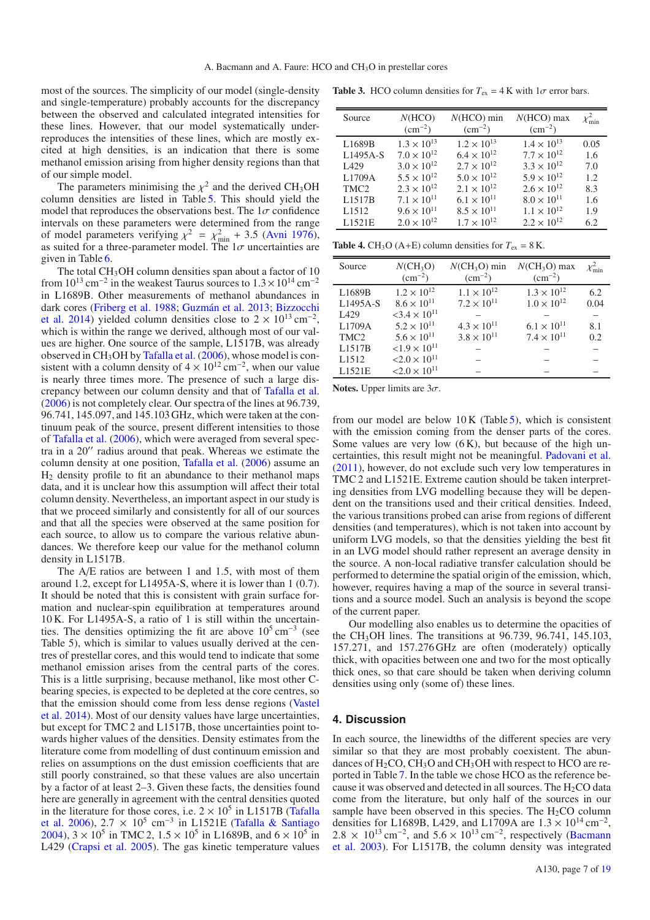most of the sources. The simplicity of our model (single-density and single-temperature) probably accounts for the discrepancy between the observed and calculated integrated intensities for these lines. However, that our model systematically underreproduces the intensities of these lines, which are mostly excited at high densities, is an indication that there is some methanol emission arising from higher density regions than that of our simple model.

The parameters minimising the  $x^2$  and the derived CH<sub>3</sub>OH column densities are listed in Table 5. This should yield the model that reproduces the observations best. The  $1\sigma$  confidence intervals on these parameters were determined from the range of model parameters verifying  $\chi^2 = \chi^2_{min} + 3.5$  (Avni 1976), as suited for a three-parameter model. The  $1\sigma$  uncertainties are as suited for a three-parameter model. The  $1\sigma$  uncertainties are given in Table 6.

The total CH<sub>3</sub>OH column densities span about a factor of 10 from  $10^{13}$  cm<sup>-2</sup> in the weakest Taurus sources to  $1.3 \times 10^{14}$  cm<sup>-2</sup> in L1689B. Other measurements of methanol abundances in dark cores (Friberg et al. 1988; Guzmán et al. 2013; Bizzocchi et al. 2014) yielded column densities close to  $2 \times 10^{13}$  cm<sup>-2</sup>, which is within the range we derived, although most of our values are higher. One source of the sample, L1517B, was already observed in  $CH<sub>3</sub>OH$  by Tafalla et al. (2006), whose model is consistent with a column density of  $4 \times 10^{12}$  cm<sup>-2</sup>, when our value is nearly three times more. The presence of such a large discrepancy between our column density and that of Tafalla et al. (2006) is not completely clear. Our spectra of the lines at 96.739, 96.741, 145.097, and 145.103 GHz, which were taken at the continuum peak of the source, present different intensities to those of Tafalla et al. (2006), which were averaged from several spectra in a 20" radius around that peak. Whereas we estimate the column density at one position, Tafalla et al. (2006) assume an  $H<sub>2</sub>$  density profile to fit an abundance to their methanol maps data, and it is unclear how this assumption will affect their total column density. Nevertheless, an important aspect in our study is that we proceed similarly and consistently for all of our sources and that all the species were observed at the same position for each source, to allow us to compare the various relative abundances. We therefore keep our value for the methanol column density in L1517B.

The A/E ratios are between 1 and 1.5, with most of them around 1.2, except for L1495A-S, where it is lower than 1 (0.7). It should be noted that this is consistent with grain surface formation and nuclear-spin equilibration at temperatures around 10 K. For L1495A-S, a ratio of 1 is still within the uncertainties. The densities optimizing the fit are above  $10^5 \text{ cm}^{-3}$  (see Table 5), which is similar to values usually derived at the centres of prestellar cores, and this would tend to indicate that some methanol emission arises from the central parts of the cores. This is a little surprising, because methanol, like most other Cbearing species, is expected to be depleted at the core centres, so that the emission should come from less dense regions (Vastel et al. 2014). Most of our density values have large uncertainties, but except for TMC 2 and L1517B, those uncertainties point towards higher values of the densities. Density estimates from the literature come from modelling of dust continuum emission and relies on assumptions on the dust emission coefficients that are still poorly constrained, so that these values are also uncertain by a factor of at least 2–3. Given these facts, the densities found here are generally in agreement with the central densities quoted in the literature for those cores, i.e.  $2 \times 10^5$  in L1517B (Tafalla et al. 2006),  $2.7 \times 10^5$  cm<sup>-3</sup> in L1521E (Tafalla & Santiago 2004),  $3 \times 10^5$  in TMC 2,  $1.5 \times 10^5$  in L1689B, and  $6 \times 10^5$  in L429 (Crapsi et al. 2005). The gas kinetic temperature values

**Table 3.** HCO column densities for  $T_{ex} = 4$  K with  $1\sigma$  error bars.

| Source            | N(HCO)<br>$\rm (cm^{-2})$ | $N(HCO)$ min<br>$\rm (cm^{-2})$ | $N(HCO)$ max<br>$\rm (cm^{-2})$ | $\chi^2_{\rm min}$ |
|-------------------|---------------------------|---------------------------------|---------------------------------|--------------------|
| L1689B            | $1.3 \times 10^{13}$      | $1.2 \times 10^{13}$            | $1.4 \times 10^{13}$            | 0.05               |
| L1495A-S          | $7.0 \times 10^{12}$      | $6.4 \times 10^{12}$            | $7.7 \times 10^{12}$            | 1.6                |
| L429              | $3.0 \times 10^{12}$      | $2.7 \times 10^{12}$            | $3.3 \times 10^{12}$            | 7.0                |
| L1709A            | $5.5 \times 10^{12}$      | $5.0 \times 10^{12}$            | $5.9 \times 10^{12}$            | 1.2.               |
| TMC <sub>2</sub>  | $2.3 \times 10^{12}$      | $2.1 \times 10^{12}$            | $2.6 \times 10^{12}$            | 8.3                |
| L1517B            | $7.1 \times 10^{11}$      | $6.1 \times 10^{11}$            | $8.0 \times 10^{11}$            | 1.6                |
| L <sub>1512</sub> | $9.6 \times 10^{11}$      | $8.5 \times 10^{11}$            | $1.1 \times 10^{12}$            | 1.9                |
| L1521E            | $2.0 \times 10^{12}$      | $1.7 \times 10^{12}$            | $2.2 \times 10^{12}$            | 6.2                |

**Table 4.** CH<sub>3</sub>O (A+E) column densities for  $T_{ex} = 8$  K.

| Source            | $N(CH_3O)$<br>$\rm (cm^{-2})$     | $NCH3O$ min<br>$\rm (cm^{-2})$ | $N(CH_3O)$ max<br>$\rm (cm^{-2})$ | $\chi^2_{\rm min}$ |
|-------------------|-----------------------------------|--------------------------------|-----------------------------------|--------------------|
| L1689B            | $1.2 \times 10^{12}$              | $1.1 \times 10^{12}$           | $1.3 \times 10^{12}$              | 6.2                |
| L1495A-S          | $8.6 \times 10^{11}$              | $7.2 \times 10^{11}$           | $1.0 \times 10^{12}$              | 0.04               |
| L <sub>429</sub>  | $<$ 3.4 $\times$ 10 <sup>11</sup> |                                |                                   |                    |
| L1709A            | $5.2 \times 10^{11}$              | $4.3 \times 10^{11}$           | $6.1 \times 10^{11}$              | 8.1                |
| TMC <sub>2</sub>  | $5.6 \times 10^{11}$              | $3.8 \times 10^{11}$           | $7.4 \times 10^{11}$              | 0.2                |
| L1517B            | $< 1.9 \times 10^{11}$            |                                |                                   |                    |
| L <sub>1512</sub> | $< 2.0 \times 10^{11}$            |                                |                                   |                    |
| L1521E            | $< 2.0 \times 10^{11}$            |                                |                                   |                    |
|                   |                                   |                                |                                   |                    |

**Notes.** Upper limits are  $3\sigma$ .

from our model are below  $10 K$  (Table 5), which is consistent with the emission coming from the denser parts of the cores. Some values are very low  $(6 K)$ , but because of the high uncertainties, this result might not be meaningful. Padovani et al. (2011), however, do not exclude such very low temperatures in TMC 2 and L1521E. Extreme caution should be taken interpreting densities from LVG modelling because they will be dependent on the transitions used and their critical densities. Indeed, the various transitions probed can arise from regions of different densities (and temperatures), which is not taken into account by uniform LVG models, so that the densities yielding the best fit in an LVG model should rather represent an average density in the source. A non-local radiative transfer calculation should be performed to determine the spatial origin of the emission, which, however, requires having a map of the source in several transitions and a source model. Such an analysis is beyond the scope of the current paper.

Our modelling also enables us to determine the opacities of the CH<sub>3</sub>OH lines. The transitions at 96.739, 96.741, 145.103, 157.271, and 157.276 GHz are often (moderately) optically thick, with opacities between one and two for the most optically thick ones, so that care should be taken when deriving column densities using only (some of) these lines.

#### **4. Discussion**

In each source, the linewidths of the different species are very similar so that they are most probably coexistent. The abundances of  $H_2CO$ , CH<sub>3</sub>O and CH<sub>3</sub>OH with respect to HCO are reported in Table 7. In the table we chose HCO as the reference because it was observed and detected in all sources. The  $H_2CO$  data come from the literature, but only half of the sources in our sample have been observed in this species. The  $H_2CO$  column densities for L1689B, L429, and L1709A are  $1.3 \times 10^{14}$  cm<sup>-2</sup>,  $2.8 \times 10^{13}$  cm<sup>-2</sup>, and  $5.6 \times 10^{13}$  cm<sup>-2</sup>, respectively (Bacmann et al. 2003). For L1517B, the column density was integrated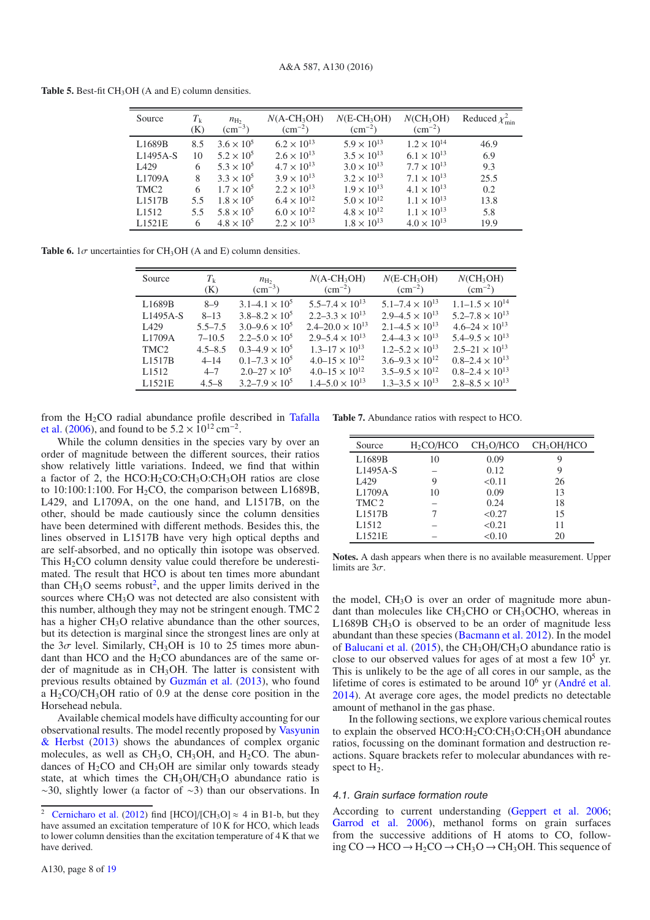| <b>Table 5.</b> Best-fit $CH_3OH$ (A and E) column densities. |  |
|---------------------------------------------------------------|--|
|---------------------------------------------------------------|--|

| Source            | $T_{\rm k}$<br>(K) | $n_{\text{H}_2}$<br>$\rm (cm^{-3})$ | $N(A-CH_3OH)$<br>$\rm (cm^{-2})$ | $N(E-CH3OH)$<br>$\rm (cm^{-2})$ | $N(CH_3OH)$<br>$\rm (cm^{-2})$ | Reduced $\chi^2_{\min}$ |
|-------------------|--------------------|-------------------------------------|----------------------------------|---------------------------------|--------------------------------|-------------------------|
| L1689B            | 8.5                | $3.6 \times 10^{5}$                 | $6.2 \times 10^{13}$             | $5.9 \times 10^{13}$            | $1.2 \times 10^{14}$           | 46.9                    |
| $L1495A-S$        | 10                 | $5.2 \times 10^{5}$                 | $2.6 \times 10^{13}$             | $3.5 \times 10^{13}$            | $6.1 \times 10^{13}$           | 6.9                     |
| L <sub>429</sub>  | 6                  | $5.3 \times 10^{5}$                 | $4.7 \times 10^{13}$             | $3.0 \times 10^{13}$            | $7.7 \times 10^{13}$           | 9.3                     |
| L1709A            | 8                  | $3.3 \times 10^{5}$                 | $3.9 \times 10^{13}$             | $3.2 \times 10^{13}$            | $7.1 \times 10^{13}$           | 25.5                    |
| TMC <sub>2</sub>  | 6                  | $1.7 \times 10^{5}$                 | $2.2 \times 10^{13}$             | $1.9 \times 10^{13}$            | $4.1 \times 10^{13}$           | 0.2                     |
| L1517B            | 5.5                | $1.8 \times 10^{5}$                 | $6.4 \times 10^{12}$             | $5.0 \times 10^{12}$            | $1.1 \times 10^{13}$           | 13.8                    |
| L <sub>1512</sub> | 5.5                | $5.8 \times 10^{5}$                 | $6.0 \times 10^{12}$             | $4.8 \times 10^{12}$            | $1.1 \times 10^{13}$           | 5.8                     |
| L1521E            | 6                  | $4.8 \times 10^{5}$                 | $2.2 \times 10^{13}$             | $1.8 \times 10^{13}$            | $4.0 \times 10^{13}$           | 19.9                    |

**Table 6.**  $1\sigma$  uncertainties for CH<sub>3</sub>OH (A and E) column densities.

| Source              | $T_{\nu}$<br>(K) | $n_{\text{H}_2}$<br>$\rm \left( cm^{-3} \right)$ | $N(A-CH3OH)$<br>$\rm (cm^{-2})$ | $N(E-CH_3OH)$<br>$\rm (cm^{-2})$ | $NCH_3OH$<br>$\rm (cm^{-2})$ |
|---------------------|------------------|--------------------------------------------------|---------------------------------|----------------------------------|------------------------------|
| L1689B              | $8 - 9$          | $3.1 - 4.1 \times 10^5$                          | $5.5 - 7.4 \times 10^{13}$      | $5.1 - 7.4 \times 10^{13}$       | $1.1 - 1.5 \times 10^{14}$   |
| $L1495A-S$          | $8 - 13$         | $3.8 - 8.2 \times 10^5$                          | $2.2 - 3.3 \times 10^{13}$      | $2.9 - 4.5 \times 10^{13}$       | $5.2 - 7.8 \times 10^{13}$   |
| L <sub>429</sub>    | $5.5 - 7.5$      | $3.0 - 9.6 \times 10^5$                          | $2.4 - 20.0 \times 10^{13}$     | $2.1 - 4.5 \times 10^{13}$       | $4.6 - 24 \times 10^{13}$    |
| L1709A              | $7 - 10.5$       | $2.2 - 5.0 \times 10^5$                          | $2.9 - 5.4 \times 10^{13}$      | $2.4 - 4.3 \times 10^{13}$       | $5.4 - 9.5 \times 10^{13}$   |
| TMC <sub>2</sub>    | $4.5 - 8.5$      | $0.3 - 4.9 \times 10^5$                          | $1.3 - 17 \times 10^{13}$       | $1.2 - 5.2 \times 10^{13}$       | $2.5 - 21 \times 10^{13}$    |
| L <sub>1517</sub> B | $4 - 14$         | $0.1 - 7.3 \times 10^5$                          | $4.0 - 15 \times 10^{12}$       | $3.6 - 9.3 \times 10^{12}$       | $0.8 - 2.4 \times 10^{13}$   |
| L <sub>1512</sub>   | $4 - 7$          | $2.0 - 27 \times 10^5$                           | $4.0 - 15 \times 10^{12}$       | $3.5 - 9.5 \times 10^{12}$       | $0.8 - 2.4 \times 10^{13}$   |
| L1521E              | $4.5 - 8$        | $3.2 - 7.9 \times 10^5$                          | $1.4 - 5.0 \times 10^{13}$      | $1.3 - 3.5 \times 10^{13}$       | $2.8 - 8.5 \times 10^{13}$   |

from the  $H_2CO$  radial abundance profile described in Tafalla et al. (2006), and found to be  $5.2 \times 10^{12}$  cm<sup>-2</sup>.

While the column densities in the species vary by over an order of magnitude between the different sources, their ratios show relatively little variations. Indeed, we find that within a factor of 2, the  $HCO:H_2CO:CH_3O:CH_3OH$  ratios are close to  $10:100:1:100$ . For  $H_2CO$ , the comparison between L1689B, L429, and L1709A, on the one hand, and L1517B, on the other, should be made cautiously since the column densities have been determined with different methods. Besides this, the lines observed in L1517B have very high optical depths and are self-absorbed, and no optically thin isotope was observed. This  $H_2CO$  column density value could therefore be underestimated. The result that HCO is about ten times more abundant than  $CH<sub>3</sub>O$  seems robust<sup>2</sup>, and the upper limits derived in the sources where CH<sub>3</sub>O was not detected are also consistent with this number, although they may not be stringent enough. TMC 2 has a higher CH<sub>3</sub>O relative abundance than the other sources, but its detection is marginal since the strongest lines are only at the  $3\sigma$  level. Similarly, CH<sub>3</sub>OH is 10 to 25 times more abundant than HCO and the  $H_2CO$  abundances are of the same order of magnitude as in  $CH<sub>3</sub>OH$ . The latter is consistent with previous results obtained by Guzmán et al. (2013), who found a  $H_2CO/CH_3OH$  ratio of 0.9 at the dense core position in the Horsehead nebula.

Available chemical models have difficulty accounting for our observational results. The model recently proposed by Vasyunin & Herbst (2013) shows the abundances of complex organic molecules, as well as  $CH<sub>3</sub>O$ ,  $CH<sub>3</sub>OH$ , and  $H<sub>2</sub>CO$ . The abundances of  $H_2CO$  and  $CH_3OH$  are similar only towards steady state, at which times the  $CH<sub>3</sub>OH/CH<sub>3</sub>O$  abundance ratio is ∼30, slightly lower (a factor of ∼3) than our observations. In

**Table 7.** Abundance ratios with respect to HCO.

| Source            | $H_2CO/HCO$ | CH <sub>3</sub> O/HCO | CH <sub>3</sub> OH/HCO |
|-------------------|-------------|-----------------------|------------------------|
| L1689B            | 10          | 0.09                  | 9                      |
| L1495A-S          |             | 0.12                  | 9                      |
| L <sub>429</sub>  | 9           | < 0.11                | 26                     |
| L1709A            | 10          | 0.09                  | 13                     |
| TMC <sub>2</sub>  |             | 0.24                  | 18                     |
| L1517B            |             | < 0.27                | 15                     |
| L <sub>1512</sub> |             | < 0.21                | 11                     |
| L1521E            |             | < 0.10                | 20                     |

**Notes.** A dash appears when there is no available measurement. Upper limits are  $3\sigma$ .

the model,  $CH<sub>3</sub>O$  is over an order of magnitude more abundant than molecules like  $CH<sub>3</sub>CHO$  or  $CH<sub>3</sub>OCHO$ , whereas in L1689B  $CH<sub>3</sub>O$  is observed to be an order of magnitude less abundant than these species (Bacmann et al. 2012). In the model of Balucani et al. (2015), the  $CH<sub>3</sub>OH/CH<sub>3</sub>O$  abundance ratio is close to our observed values for ages of at most a few  $10^5$  yr. This is unlikely to be the age of all cores in our sample, as the lifetime of cores is estimated to be around  $10<sup>6</sup>$  yr (André et al. 2014). At average core ages, the model predicts no detectable amount of methanol in the gas phase.

In the following sections, we explore various chemical routes to explain the observed  $HCO:H_2CO:CH_3O:CH_3OH$  abundance ratios, focussing on the dominant formation and destruction reactions. Square brackets refer to molecular abundances with respect to  $H_2$ .

#### 4.1. Grain surface formation route

According to current understanding (Geppert et al. 2006; Garrod et al. 2006), methanol forms on grain surfaces from the successive additions of H atoms to CO, following CO → HCO → H<sub>2</sub>CO → CH<sub>3</sub>O → CH<sub>3</sub>OH. This sequence of

<sup>&</sup>lt;sup>2</sup> Cernicharo et al. (2012) find [HCO]/[CH<sub>3</sub>O]  $\approx$  4 in B1-b, but they have assumed an excitation temperature of 10 K for HCO, which leads to lower column densities than the excitation temperature of 4 K that we have derived.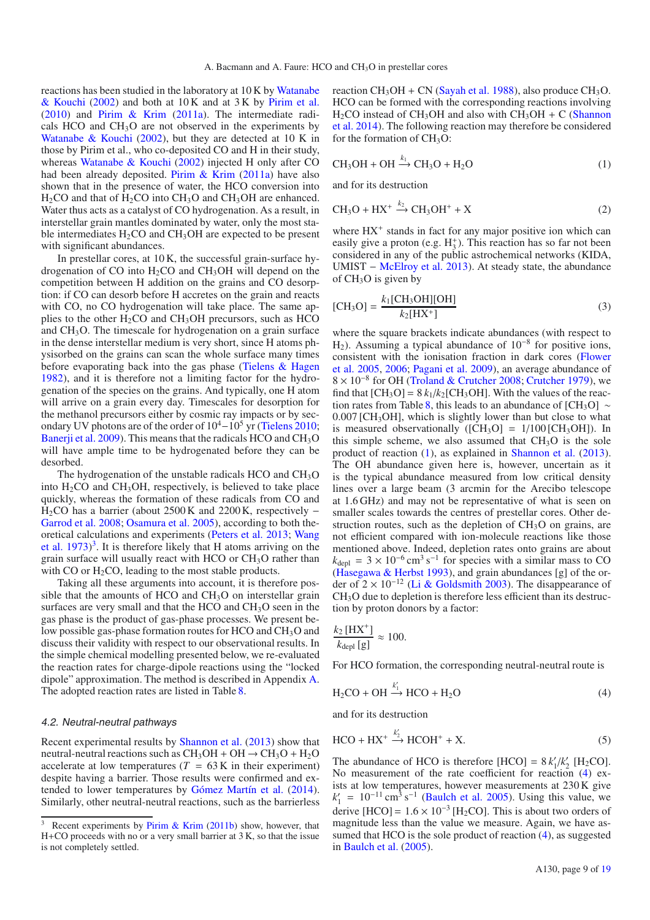reactions has been studied in the laboratory at 10 K by Watanabe & Kouchi (2002) and both at 10 K and at 3 K by Pirim et al. (2010) and Pirim & Krim (2011a). The intermediate radicals HCO and  $CH<sub>3</sub>O$  are not observed in the experiments by Watanabe & Kouchi (2002), but they are detected at 10 K in those by Pirim et al., who co-deposited CO and H in their study, whereas Watanabe & Kouchi (2002) injected H only after CO had been already deposited. Pirim & Krim (2011a) have also shown that in the presence of water, the HCO conversion into  $H<sub>2</sub>CO$  and that of  $H<sub>2</sub>CO$  into  $CH<sub>3</sub>O$  and  $CH<sub>3</sub>OH$  are enhanced. Water thus acts as a catalyst of CO hydrogenation. As a result, in interstellar grain mantles dominated by water, only the most stable intermediates  $H_2CO$  and  $CH_3OH$  are expected to be present with significant abundances.

In prestellar cores, at 10 K, the successful grain-surface hydrogenation of CO into H2CO and CH3OH will depend on the competition between H addition on the grains and CO desorption: if CO can desorb before H accretes on the grain and reacts with CO, no CO hydrogenation will take place. The same applies to the other  $H_2CO$  and  $CH_3OH$  precursors, such as HCO and CH3O. The timescale for hydrogenation on a grain surface in the dense interstellar medium is very short, since H atoms physisorbed on the grains can scan the whole surface many times before evaporating back into the gas phase (Tielens & Hagen 1982), and it is therefore not a limiting factor for the hydrogenation of the species on the grains. And typically, one H atom will arrive on a grain every day. Timescales for desorption for the methanol precursors either by cosmic ray impacts or by secondary UV photons are of the order of 10<sup>4</sup>−10<sup>5</sup> yr (Tielens 2010; Banerii et al.  $2009$ ). This means that the radicals HCO and CH<sub>3</sub>O will have ample time to be hydrogenated before they can be desorbed.

The hydrogenation of the unstable radicals HCO and CH<sub>3</sub>O into  $H_2CO$  and  $CH_3OH$ , respectively, is believed to take place quickly, whereas the formation of these radicals from CO and H<sub>2</sub>CO has a barrier (about 2500 K and 2200 K, respectively – Garrod et al. 2008; Osamura et al. 2005), according to both theoretical calculations and experiments (Peters et al. 2013; Wang et al.  $1973$ <sup>3</sup>. It is therefore likely that H atoms arriving on the grain surface will usually react with HCO or  $CH<sub>3</sub>O$  rather than with CO or  $H_2CO$ , leading to the most stable products.

Taking all these arguments into account, it is therefore possible that the amounts of HCO and CH3O on interstellar grain surfaces are very small and that the HCO and CH<sub>3</sub>O seen in the gas phase is the product of gas-phase processes. We present below possible gas-phase formation routes for HCO and CH<sub>3</sub>O and discuss their validity with respect to our observational results. In the simple chemical modelling presented below, we re-evaluated the reaction rates for charge-dipole reactions using the "locked dipole" approximation. The method is described in Appendix A. The adopted reaction rates are listed in Table 8.

#### 4.2. Neutral-neutral pathways

Recent experimental results by Shannon et al. (2013) show that neutral-neutral reactions such as  $CH_3OH + OH \rightarrow CH_3O + H_2O$ accelerate at low temperatures ( $T = 63$  K in their experiment) despite having a barrier. Those results were confirmed and extended to lower temperatures by Gómez Martín et al. (2014). Similarly, other neutral-neutral reactions, such as the barrierless reaction  $CH_3OH + CN$  (Sayah et al. 1988), also produce  $CH_3O$ . HCO can be formed with the corresponding reactions involving  $H_2CO$  instead of CH<sub>3</sub>OH and also with CH<sub>3</sub>OH + C (Shannon et al. 2014). The following reaction may therefore be considered for the formation of  $CH<sub>3</sub>O$ :

$$
CH_3OH + OH \xrightarrow{k_1} CH_3O + H_2O
$$
 (1)

and for its destruction

$$
CH_3O + HX^+ \xrightarrow{k_2} CH_3OH^+ + X \tag{2}
$$

where  $HX^+$  stands in fact for any major positive ion which can easily give a proton (e.g.  $H_3^+$ ). This reaction has so far not been considered in any of the public astrochemical networks (KIDA, UMIST − McElroy et al. 2013). At steady state, the abundance of  $CH<sub>3</sub>O$  is given by

$$
[CH3O] = \frac{k_1 [CH3OH][OH]}{k_2 [HX^+]}
$$
 (3)

where the square brackets indicate abundances (with respect to H2). Assuming a typical abundance of 10−<sup>8</sup> for positive ions, consistent with the ionisation fraction in dark cores (Flower et al. 2005, 2006; Pagani et al. 2009), an average abundance of 8 × 10−<sup>8</sup> for OH (Troland & Crutcher 2008; Crutcher 1979), we find that  $[CH_3O] = 8 k_1/k_2[CH_3OH]$ . With the values of the reaction rates from Table 8, this leads to an abundance of [CH<sub>3</sub>O] ∼  $0.007$  [CH<sub>3</sub>OH], which is slightly lower than but close to what is measured observationally  $([CH_3O] = 1/100 [CH_3OH])$ . In this simple scheme, we also assumed that  $CH<sub>3</sub>O$  is the sole product of reaction (1), as explained in Shannon et al. (2013). The OH abundance given here is, however, uncertain as it is the typical abundance measured from low critical density lines over a large beam (3 arcmin for the Arecibo telescope at 1.6 GHz) and may not be representative of what is seen on smaller scales towards the centres of prestellar cores. Other destruction routes, such as the depletion of  $CH<sub>3</sub>O$  on grains, are not efficient compared with ion-molecule reactions like those mentioned above. Indeed, depletion rates onto grains are about  $k_{\text{depl}} = 3 \times 10^{-6} \text{ cm}^3 \text{ s}^{-1}$  for species with a similar mass to CO (Hasegawa & Herbst 1993), and grain abundances [g] of the order of 2 × 10−<sup>12</sup> (Li & Goldsmith 2003). The disappearance of CH3O due to depletion is therefore less efficient than its destruction by proton donors by a factor:

$$
\frac{k_2 \,\mathrm{[HX^+]}}{k_{\text{depl}}\,\mathrm{[g]}} \approx 100.
$$

For HCO formation, the corresponding neutral-neutral route is

$$
H_2CO + OH \xrightarrow{\kappa_1} HCO + H_2O \tag{4}
$$

and for its destruction

*k*

$$
HCO + HX^{+} \xrightarrow{k'_{2}} HCOH^{+} + X.
$$
 (5)

The abundance of HCO is therefore  $[HCO] = 8 k'_1/k'_2$   $[H_2CO]$ . No measurement of the rate coefficient for reaction (4) exists at low temperatures, however measurements at 230 K give  $k_1' = 10^{-11} \text{ cm}^3 \text{ s}^{-1}$  (Baulch et al. 2005). Using this value, we derive [HCO] =  $1.6 \times 10^{-3}$  [H<sub>2</sub>CO]. This is about two orders of magnitude less than the value we measure. Again, we have assumed that HCO is the sole product of reaction (4), as suggested in Baulch et al. (2005).

<sup>&</sup>lt;sup>3</sup> Recent experiments by Pirim & Krim (2011b) show, however, that H+CO proceeds with no or a very small barrier at 3 K, so that the issue is not completely settled.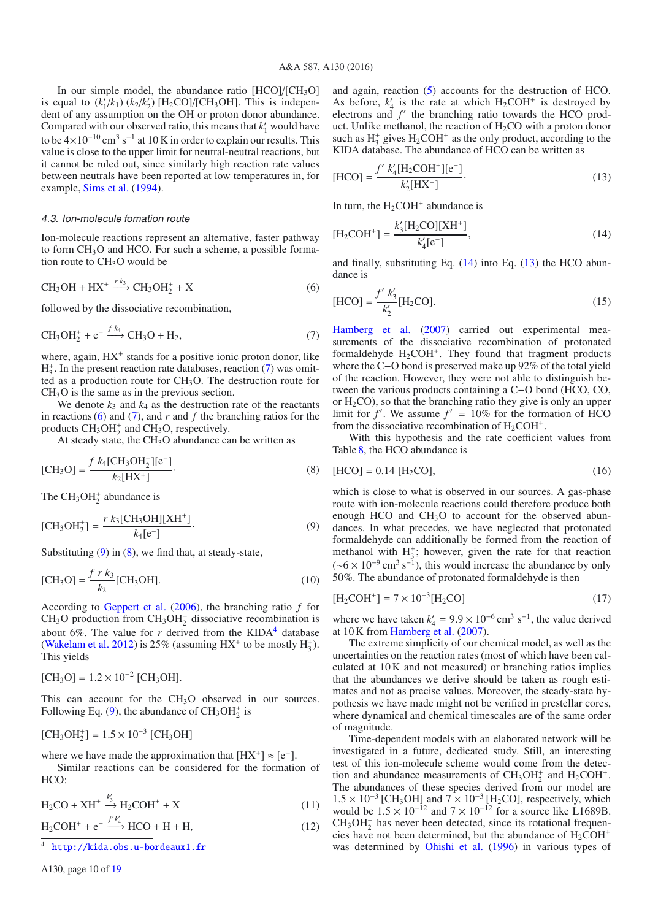In our simple model, the abundance ratio  $[HCO]/[CH<sub>3</sub>O]$ is equal to  $(k'_1/k_1) (k_2/k'_2)$  [H<sub>2</sub>CO]/[CH<sub>3</sub>OH]. This is independent of any assumption on the OH or proton donor abundance. Compared with our observed ratio, this means that  $k_1$  would have to be  $4\times10^{-10}$  cm<sup>3</sup> s<sup>-1</sup> at 10 K in order to explain our results. This value is close to the upper limit for neutral-neutral reactions, but it cannot be ruled out, since similarly high reaction rate values between neutrals have been reported at low temperatures in, for example, Sims et al. (1994).

#### 4.3. Ion-molecule fomation route

Ion-molecule reactions represent an alternative, faster pathway to form CH<sub>3</sub>O and HCO. For such a scheme, a possible formation route to CH<sub>3</sub>O would be

$$
CH_3OH + HX^+ \xrightarrow{r k_3} CH_3OH_2^+ + X \tag{6}
$$

followed by the dissociative recombination,

$$
CH3OH2+ + e- \xrightarrow{f k_4} CH3O + H2,
$$
\n(7)

where, again,  $HX^+$  stands for a positive ionic proton donor, like  $H_3^+$ . In the present reaction rate databases, reaction (7) was omitted as a production route for CH3O. The destruction route for  $CH<sub>3</sub>O$  is the same as in the previous section.

We denote  $k_3$  and  $k_4$  as the destruction rate of the reactants in reactions  $(6)$  and  $(7)$ , and  $r$  and  $f$  the branching ratios for the products  $CH_3OH_2^+$  and  $CH_3O$ , respectively.

At steady state, the  $CH<sub>3</sub>O$  abundance can be written as

$$
[CH3O] = \frac{f k_4 [CH3OH2+][e-]}{k_2 [HX+]}.
$$
 (8)

The  $CH_3OH_2^+$  abundance is

$$
[CH_3OH_2^+] = \frac{r k_3 [CH_3OH][XH^+]}{k_4 [e^-]}.
$$
\n(9)

Substituting  $(9)$  in  $(8)$ , we find that, at steady-state,

$$
[CH3O] = \frac{fr k_3}{k_2} [CH3OH].
$$
 (10)

According to Geppert et al. (2006), the branching ratio *f* for  $CH<sub>3</sub>O$  production from  $CH<sub>3</sub>OH<sub>2</sub><sup>+</sup>$  dissociative recombination is about 6%. The value for  $r$  derived from the KIDA<sup>4</sup> database (Wakelam et al. 2012) is 25% (assuming  $HX^+$  to be mostly  $H_3^+$ ). This yields

$$
[CH_3O] = 1.2 \times 10^{-2} [CH_3OH].
$$

This can account for the  $CH<sub>3</sub>O$  observed in our sources. Following Eq. (9), the abundance of  $CH_3OH_2^+$  is

$$
[CH_3OH_2^+] = 1.5 \times 10^{-3} [CH_3OH]
$$

where we have made the approximation that  $[HX^+] \approx [e^-]$ .

Similar reactions can be considered for the formation of HCO:

$$
H_2CO + XH^+ \xrightarrow{k'_3} H_2COH^+ + X \tag{11}
$$

 $H_2COH^+ + e^- \xrightarrow{f'k'_4} HCO + H + H,$  (12)

<sup>4</sup> <http://kida.obs.u-bordeaux1.fr>

and again, reaction (5) accounts for the destruction of HCO. As before,  $k'_4$  is the rate at which  $H_2COH^+$  is destroyed by electrons and *f'* the branching ratio towards the HCO product. Unlike methanol, the reaction of  $H_2CO$  with a proton donor such as  $H_3^+$  gives  $H_2COH^+$  as the only product, according to the KIDA database. The abundance of HCO can be written as

$$
[\text{HCO}] = \frac{f' \ k_4' [\text{H}_2 \text{COH}^+][e^-]}{k_2' [\text{HX}^+]}. \tag{13}
$$

In turn, the  $H_2COH^+$  abundance is

$$
[H_2COH^+] = \frac{k'_3[H_2CO][XH^+]}{k'_4[e^-]},
$$
\n(14)

and finally, substituting Eq.  $(14)$  into Eq.  $(13)$  the HCO abundance is

$$
[HCO] = \frac{f' k_3'}{k_2'} [H_2 CO].
$$
 (15)

Hamberg et al. (2007) carried out experimental measurements of the dissociative recombination of protonated formaldehyde  $H_2COH^+$ . They found that fragment products where the C−O bond is preserved make up 92% of the total yield of the reaction. However, they were not able to distinguish between the various products containing a C−O bond (HCO, CO, or  $H_2CO$ ), so that the branching ratio they give is only an upper limit for  $f'$ . We assume  $f' = 10\%$  for the formation of HCO from the dissociative recombination of  $H_2COH^+$ .

With this hypothesis and the rate coefficient values from Table 8, the HCO abundance is

$$
[HCO] = 0.14 [H2CO],
$$
 (16)

which is close to what is observed in our sources. A gas-phase route with ion-molecule reactions could therefore produce both enough HCO and  $CH<sub>3</sub>O$  to account for the observed abundances. In what precedes, we have neglected that protonated formaldehyde can additionally be formed from the reaction of methanol with  $H_3^+$ ; however, given the rate for that reaction (∼6 × 10<sup>-9</sup> cm<sup>3</sup> s<sup>-1</sup>), this would increase the abundance by only 50%. The abundance of protonated formaldehyde is then

$$
[H_2COH^+] = 7 \times 10^{-3} [H_2CO]
$$
 (17)

where we have taken  $k'_4 = 9.9 \times 10^{-6}$  cm<sup>3</sup> s<sup>-1</sup>, the value derived at 10 K from Hamberg et al. (2007) at 10 K from Hamberg et al. (2007).

The extreme simplicity of our chemical model, as well as the uncertainties on the reaction rates (most of which have been calculated at 10 K and not measured) or branching ratios implies that the abundances we derive should be taken as rough estimates and not as precise values. Moreover, the steady-state hypothesis we have made might not be verified in prestellar cores, where dynamical and chemical timescales are of the same order of magnitude.

Time-dependent models with an elaborated network will be investigated in a future, dedicated study. Still, an interesting test of this ion-molecule scheme would come from the detection and abundance measurements of  $CH_3OH_2^+$  and  $H_2COH^+$ . The abundances of these species derived from our model are  $1.5 \times 10^{-3}$  [CH<sub>3</sub>OH] and  $7 \times 10^{-3}$  [H<sub>2</sub>CO], respectively, which would be  $1.5 \times 10^{-12}$  and  $7 \times 10^{-12}$  for a source like L1689B.  $CH<sub>3</sub>OH<sub>2</sub><sup>+</sup>$  has never been detected, since its rotational frequencies have not been determined, but the abundance of  $H_2COH^+$ was determined by Ohishi et al. (1996) in various types of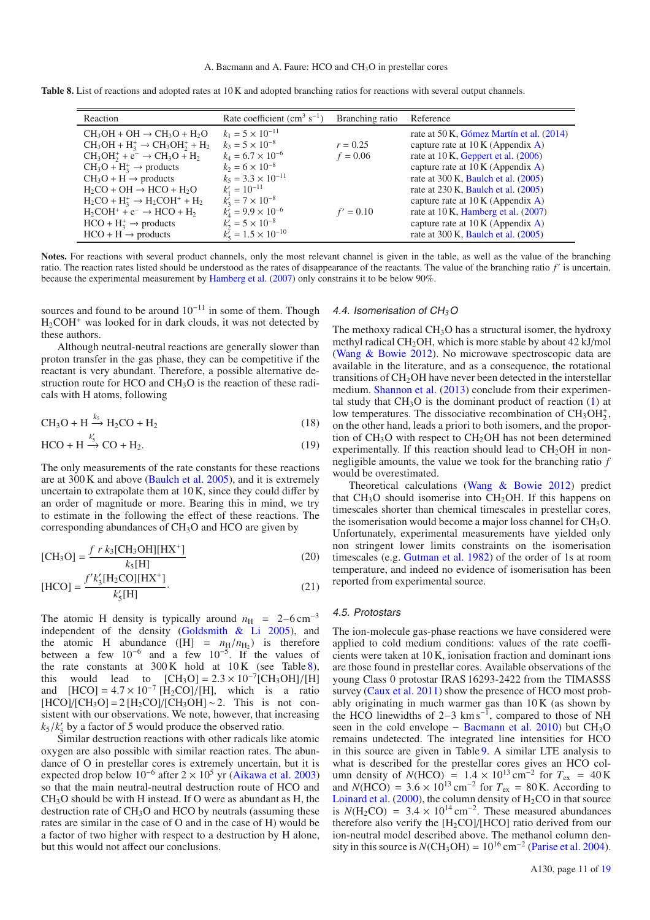**Table 8.** List of reactions and adopted rates at 10 K and adopted branching ratios for reactions with several output channels.

| Reaction                                      | Rate coefficient (cm <sup>3</sup> s <sup>-1</sup> ) | Branching ratio | Reference                                |
|-----------------------------------------------|-----------------------------------------------------|-----------------|------------------------------------------|
| $CH_3OH + OH \rightarrow CH_3O + H_2O$        | $k_1 = 5 \times 10^{-11}$                           |                 | rate at 50 K, Gómez Martín et al. (2014) |
| $CH_3OH + H_3^+ \rightarrow CH_3OH_2^+ + H_2$ | $k_3 = 5 \times 10^{-8}$                            | $r = 0.25$      | capture rate at $10 K (Appendix A)$      |
| $CH3OH2+ + e- \rightarrow CH3O + H2$          | $k_4 = 6.7 \times 10^{-6}$                          | $f = 0.06$      | rate at 10 K, Geppert et al. (2006)      |
| $CH_3O + H_3^+ \rightarrow$ products          | $k_2 = 6 \times 10^{-8}$                            |                 | capture rate at $10 K (Appendix A)$      |
| $CH_3O + H \rightarrow$ products              | $k_5 = 3.3 \times 10^{-11}$                         |                 | rate at $300$ K, Baulch et al. $(2005)$  |
| $H_2CO + OH \rightarrow HCO + H_2O$           | $k'_1 = 10^{-11}$                                   |                 | rate at $230$ K, Baulch et al. $(2005)$  |
| $H_2CO + H_3^+ \rightarrow H_2COH^+ + H_2$    | $k'_2 = 7 \times 10^{-8}$                           |                 | capture rate at $10 K$ (Appendix A)      |
| $H_2COH^+ + e^- \rightarrow HCO + H_2$        | $k'_1 = 9.9 \times 10^{-6}$                         | $f' = 0.10$     | rate at 10 K, Hamberg et al. (2007)      |
| $HCO + H_3^+ \rightarrow$ products            | $k'_2 = 5 \times 10^{-8}$                           |                 | capture rate at $10 K (Appendix A)$      |
| $HCO + H \rightarrow$ products                | $k'_5 = 1.5 \times 10^{-10}$                        |                 | rate at 300 K, Baulch et al. (2005)      |

**Notes.** For reactions with several product channels, only the most relevant channel is given in the table, as well as the value of the branching ratio. The reaction rates listed should be understood as the rates of disappearance of the reactants. The value of the branching ratio *f* is uncertain, because the experimental measurement by Hamberg et al. (2007) only constrains it to be below 90%.

sources and found to be around  $10^{-11}$  in some of them. Though  $H_2COH^+$  was looked for in dark clouds, it was not detected by these authors.

Although neutral-neutral reactions are generally slower than proton transfer in the gas phase, they can be competitive if the reactant is very abundant. Therefore, a possible alternative destruction route for HCO and CH<sub>3</sub>O is the reaction of these radicals with H atoms, following

$$
CH_3O + H \xrightarrow{\text{k}_5} H_2CO + H_2 \tag{18}
$$

$$
HCO + H \xrightarrow{\kappa_5} CO + H_2.
$$
 (19)

The only measurements of the rate constants for these reactions are at 300 K and above (Baulch et al. 2005), and it is extremely uncertain to extrapolate them at 10 K, since they could differ by an order of magnitude or more. Bearing this in mind, we try to estimate in the following the effect of these reactions. The corresponding abundances of  $CH<sub>3</sub>O$  and HCO are given by

$$
[CH3O] = \frac{fr k_3 [CH_3OH][HX^+]}{k_5 [H]}
$$
 (20)

$$
[\text{HCO}] = \frac{f' k_3' [\text{H}_2 \text{CO}][\text{HX}^+]}{k_3' [\text{H}]}.
$$
 (21)

The atomic H density is typically around  $n_H$  = 2–6 cm<sup>-3</sup> independent of the density (Goldsmith & Li 2005), and the atomic H abundance ( $[H] = n_H/n_H$ ) is therefore between a few  $10^{-6}$  and a few  $10^{-5}$ . If the values of the rate constants at 300 K hold at 10 K (see Table 8),<br>this would lead to  $\text{[CH}_3\text{O]} = 2.3 \times 10^{-7} \text{[CH}_3\text{OH}]/\text{[H]}$ this would lead to  $[CH_3O] = 2.3 \times 10^{-7} [CH_3OH]/[H]$ <br>and  $[HCO] = 4.7 \times 10^{-7} [H_3CO]/[H]$  which is a ratio and  $[HCO] = 4.7 \times 10^{-7} [H_2CO]/[H]$ , which is a ratio  $[HCO]/[CH_2OH] \sim 2$ . This is not con- $[HCO]/[CH<sub>3</sub>O] = 2 [H<sub>2</sub>CO]/[CH<sub>3</sub>OH] \sim 2$ . This is not consistent with our observations. We note, however, that increasing  $k_5/k'_5$  by a factor of 5 would produce the observed ratio.<br>Similar destruction reactions with other radicals like

Similar destruction reactions with other radicals like atomic oxygen are also possible with similar reaction rates. The abundance of O in prestellar cores is extremely uncertain, but it is expected drop below  $10^{-6}$  after 2 ×  $10^5$  yr (Aikawa et al. 2003) so that the main neutral-neutral destruction route of HCO and CH3O should be with H instead. If O were as abundant as H, the destruction rate of CH3O and HCO by neutrals (assuming these rates are similar in the case of O and in the case of H) would be a factor of two higher with respect to a destruction by H alone, but this would not affect our conclusions.

#### 4.4. Isomerisation of CH*3*O

The methoxy radical  $CH<sub>3</sub>O$  has a structural isomer, the hydroxy methyl radical CH<sub>2</sub>OH, which is more stable by about 42 kJ/mol (Wang & Bowie 2012). No microwave spectroscopic data are available in the literature, and as a consequence, the rotational transitions of  $CH<sub>2</sub>OH$  have never been detected in the interstellar medium. Shannon et al. (2013) conclude from their experimental study that  $CH<sub>3</sub>O$  is the dominant product of reaction  $(1)$  at low temperatures. The dissociative recombination of  $CH<sub>3</sub>OH<sub>2</sub><sup>+</sup>$ , on the other hand, leads a priori to both isomers, and the proportion of  $CH<sub>3</sub>O$  with respect to  $CH<sub>2</sub>OH$  has not been determined experimentally. If this reaction should lead to  $CH<sub>2</sub>OH$  in nonnegligible amounts, the value we took for the branching ratio *f* would be overestimated.

Theoretical calculations (Wang & Bowie 2012) predict that  $CH<sub>3</sub>O$  should isomerise into  $CH<sub>2</sub>OH$ . If this happens on timescales shorter than chemical timescales in prestellar cores, the isomerisation would become a major loss channel for  $CH<sub>3</sub>O$ . Unfortunately, experimental measurements have yielded only non stringent lower limits constraints on the isomerisation timescales (e.g. Gutman et al. 1982) of the order of 1s at room temperature, and indeed no evidence of isomerisation has been reported from experimental source.

#### 4.5. Protostars

The ion-molecule gas-phase reactions we have considered were applied to cold medium conditions: values of the rate coefficients were taken at 10 K, ionisation fraction and dominant ions are those found in prestellar cores. Available observations of the young Class 0 protostar IRAS 16293-2422 from the TIMASSS survey (Caux et al. 2011) show the presence of HCO most probably originating in much warmer gas than 10 K (as shown by the HCO linewidths of 2–3 km s<sup>-1</sup>, compared to those of NH seen in the cold envelope – Bacmann et al. 2010) but  $CH<sub>3</sub>O$ remains undetected. The integrated line intensities for HCO in this source are given in Table 9. A similar LTE analysis to what is described for the prestellar cores gives an HCO column density of *N*(HCO) =  $1.4 \times 10^{13} \text{ cm}^{-2}$  for  $T_{\text{ex}}$  =  $40 \text{ K}$ and *N*(HCO) =  $3.6 \times 10^{13}$  cm<sup>-2</sup> for  $T_{ex}$  = 80 K. According to Loinard et al. (2000), the column density of  $H_2CO$  in that source is  $N(H_2CO) = 3.4 \times 10^{14}$  cm<sup>-2</sup>. These measured abundances therefore also verify the  $[H_2CO]/[HCO]$  ratio derived from our ion-neutral model described above. The methanol column density in this source is  $N(CH_3OH) = 10^{16}$  cm<sup>-2</sup> (Parise et al. 2004).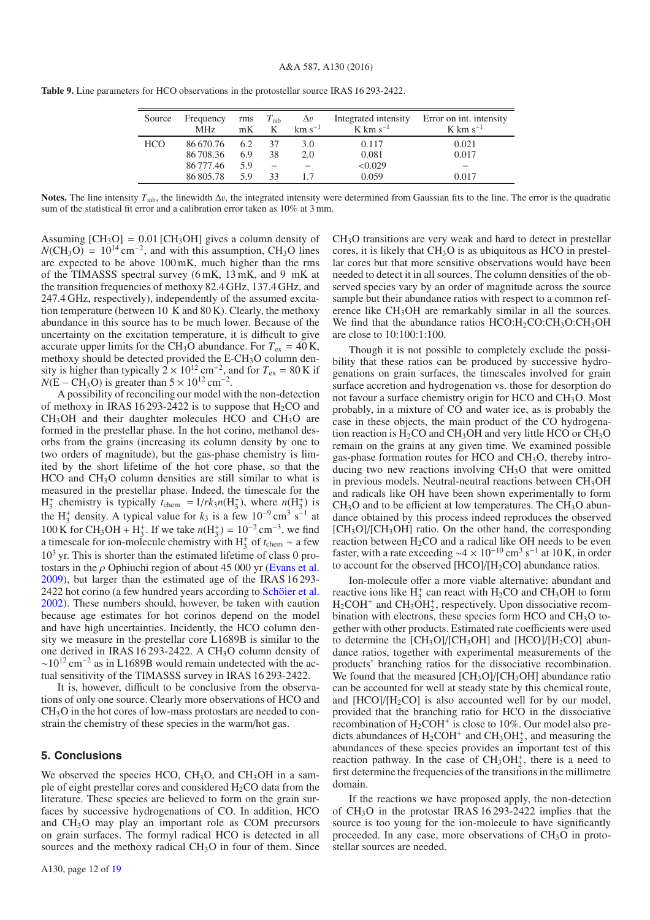| Source | Frequency<br><b>MHz</b> | rms<br>mK | $T_{\rm mb}$<br>K | $\Delta v$<br>$km s^{-1}$ | Integrated intensity<br>$K \text{ km s}^{-1}$ | Error on int. intensity<br>$K \text{ km s}^{-1}$ |
|--------|-------------------------|-----------|-------------------|---------------------------|-----------------------------------------------|--------------------------------------------------|
| HCO    | 86670.76                | 6.2       | 37                | 3.0                       | 0.117                                         | 0.021                                            |
|        | 86 708.36               | 6.9       | 38                | 2.0                       | 0.081                                         | 0.017                                            |
|        | 86 777.46               | 5.9       |                   |                           | < 0.029                                       |                                                  |
|        | 86805.78                | 59        | 33                |                           | 0.059                                         | 0.017                                            |

**Table 9.** Line parameters for HCO observations in the protostellar source IRAS 16 293-2422.

**Notes.** The line intensity  $T_{\text{mb}}$ , the linewidth  $\Delta v$ , the integrated intensity were determined from Gaussian fits to the line. The error is the quadratic sum of the statistical fit error and a calibration error taken as 10% at 3 mm.

Assuming  $[CH_3O] = 0.01$   $[CH_3OH]$  gives a column density of  $NCH<sub>3</sub>O$  = 10<sup>14</sup> cm<sup>-2</sup>, and with this assumption, CH<sub>3</sub>O lines are expected to be above 100 mK, much higher than the rms of the TIMASSS spectral survey (6 mK, 13 mK, and 9 mK at the transition frequencies of methoxy 82.4 GHz, 137.4 GHz, and 247.4 GHz, respectively), independently of the assumed excitation temperature (between 10 K and 80 K). Clearly, the methoxy abundance in this source has to be much lower. Because of the uncertainty on the excitation temperature, it is difficult to give accurate upper limits for the CH<sub>3</sub>O abundance. For  $T_{ex} = 40$  K, methoxy should be detected provided the E-CH<sub>3</sub>O column density is higher than typically  $2 \times 10^{12}$  cm<sup>-2</sup>, and for  $T_{ex} = 80$  K if  $N(E - CH_3O)$  is greater than  $5 \times 10^{12}$  cm<sup>-2</sup>.

A possibility of reconciling our model with the non-detection of methoxy in IRAS 16 293-2422 is to suppose that  $H_2CO$  and  $CH<sub>3</sub>OH$  and their daughter molecules HCO and  $CH<sub>3</sub>O$  are formed in the prestellar phase. In the hot corino, methanol desorbs from the grains (increasing its column density by one to two orders of magnitude), but the gas-phase chemistry is limited by the short lifetime of the hot core phase, so that the  $HCO$  and  $CH<sub>3</sub>O$  column densities are still similar to what is measured in the prestellar phase. Indeed, the timescale for the  $H_3^+$  chemistry is typically  $t_{\text{chem}} = 1/rk_3n(H_3^+)$ , where  $n(H_3^+)$  is the H<sub>3</sub><sup>+</sup> density. A typical value for  $k_3$  is a few 10<sup>-9</sup> cm<sup>3</sup> s<sup>-1</sup> at 100 K for CH<sub>3</sub>OH + H<sub>3</sub><sup>+</sup>. If we take  $n(H_3^+) = 10^{-2}$  cm<sup>-3</sup>, we find a timescale for ion-molecule chemistry with H<sub>3</sub><sup>+</sup> of  $t_{\text{chem}} \sim$  a few  $10<sup>3</sup>$  yr. This is shorter than the estimated lifetime of class 0 protostars in the  $\rho$  Ophiuchi region of about 45 000 yr (Evans et al. 2009), but larger than the estimated age of the IRAS 16 293- 2422 hot corino (a few hundred years according to Schöier et al. 2002). These numbers should, however, be taken with caution because age estimates for hot corinos depend on the model and have high uncertainties. Incidently, the HCO column density we measure in the prestellar core L1689B is similar to the one derived in IRAS 16 293-2422. A CH<sub>3</sub>O column density of  $\sim$ 10<sup>12</sup> cm<sup>-2</sup> as in L1689B would remain undetected with the actual sensitivity of the TIMASSS survey in IRAS 16 293-2422.

It is, however, difficult to be conclusive from the observations of only one source. Clearly more observations of HCO and CH3O in the hot cores of low-mass protostars are needed to constrain the chemistry of these species in the warm/hot gas.

#### **5. Conclusions**

We observed the species HCO,  $CH<sub>3</sub>O$ , and  $CH<sub>3</sub>OH$  in a sample of eight prestellar cores and considered  $H_2CO$  data from the literature. These species are believed to form on the grain surfaces by successive hydrogenations of CO. In addition, HCO and CH3O may play an important role as COM precursors on grain surfaces. The formyl radical HCO is detected in all sources and the methoxy radical  $CH<sub>3</sub>O$  in four of them. Since CH3O transitions are very weak and hard to detect in prestellar cores, it is likely that  $CH<sub>3</sub>O$  is as ubiquitous as HCO in prestellar cores but that more sensitive observations would have been needed to detect it in all sources. The column densities of the observed species vary by an order of magnitude across the source sample but their abundance ratios with respect to a common reference like CH<sub>3</sub>OH are remarkably similar in all the sources. We find that the abundance ratios  $HCO:H_2CO:CH_3O:CH_3OH$ are close to 10:100:1:100.

Though it is not possible to completely exclude the possibility that these ratios can be produced by successive hydrogenations on grain surfaces, the timescales involved for grain surface accretion and hydrogenation vs. those for desorption do not favour a surface chemistry origin for HCO and CH<sub>3</sub>O. Most probably, in a mixture of CO and water ice, as is probably the case in these objects, the main product of the CO hydrogenation reaction is  $H_2CO$  and CH<sub>3</sub>OH and very little HCO or CH<sub>3</sub>O remain on the grains at any given time. We examined possible gas-phase formation routes for HCO and CH3O, thereby introducing two new reactions involving CH3O that were omitted in previous models. Neutral-neutral reactions between  $CH<sub>3</sub>OH$ and radicals like OH have been shown experimentally to form  $CH<sub>3</sub>O$  and to be efficient at low temperatures. The  $CH<sub>3</sub>O$  abundance obtained by this process indeed reproduces the observed [CH<sub>3</sub>O]/[CH<sub>3</sub>OH] ratio. On the other hand, the corresponding reaction between  $H_2CO$  and a radical like OH needs to be even faster, with a rate exceeding ~4 × 10<sup>-10</sup> cm<sup>3</sup> s<sup>-1</sup> at 10 K, in order to account for the observed  $[HCO]/[H_2CO]$  abundance ratios.

Ion-molecule offer a more viable alternative: abundant and reactive ions like  $H_3^+$  can react with  $H_2CO$  and  $CH_3OH$  to form  $H_2COH^+$  and  $CH_3OH_2^+$ , respectively. Upon dissociative recombination with electrons, these species form HCO and CH<sub>3</sub>O together with other products. Estimated rate coefficients were used to determine the  $\text{[CH}_3\text{O}]/\text{[CH}_3\text{OH}]$  and  $\text{[HCO]/}[H_2CO]$  abundance ratios, together with experimental measurements of the products' branching ratios for the dissociative recombination. We found that the measured  $\text{[CH}_3\text{O}]/\text{[CH}_3\text{OH}]$  abundance ratio can be accounted for well at steady state by this chemical route, and  $[HCO]/[H_2CO]$  is also accounted well for by our model, provided that the branching ratio for HCO in the dissociative recombination of  $H_2COH^+$  is close to 10%. Our model also predicts abundances of  $H_2COH^+$  and  $CH_3OH_2^+$ , and measuring the abundances of these species provides an important test of this reaction pathway. In the case of  $CH<sub>3</sub>OH<sub>2</sub><sup>+</sup>$ , there is a need to first determine the frequencies of the transitions in the millimetre domain.

If the reactions we have proposed apply, the non-detection of CH3O in the protostar IRAS 16 293-2422 implies that the source is too young for the ion-molecule to have significantly proceeded. In any case, more observations of CH3O in protostellar sources are needed.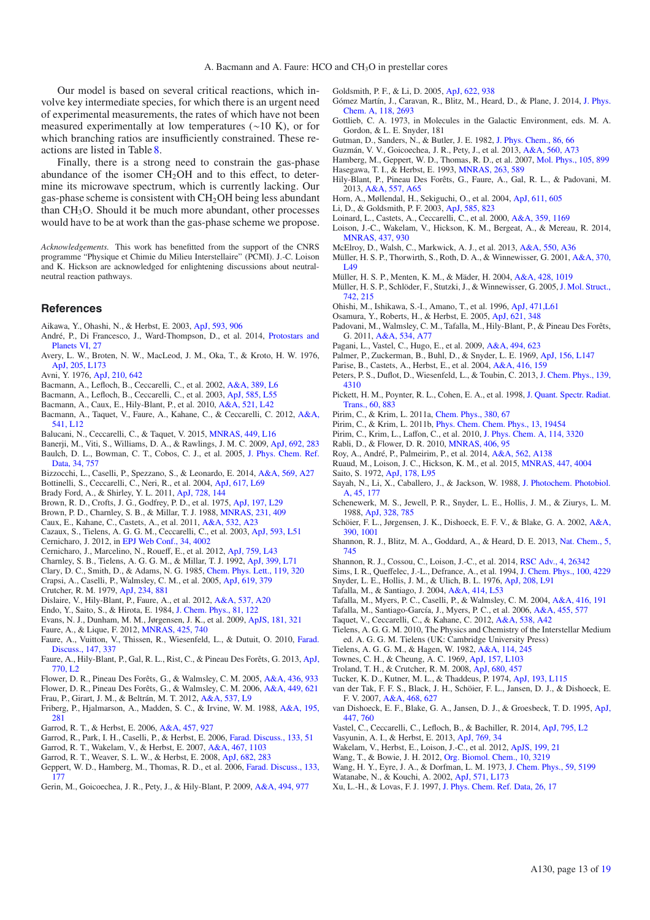Our model is based on several critical reactions, which involve key intermediate species, for which there is an urgent need of experimental measurements, the rates of which have not been measured experimentally at low temperatures (∼10 K), or for which branching ratios are insufficiently constrained. These reactions are listed in Table 8.

Finally, there is a strong need to constrain the gas-phase abundance of the isomer  $CH<sub>2</sub>OH$  and to this effect, to determine its microwave spectrum, which is currently lacking. Our gas-phase scheme is consistent with  $CH<sub>2</sub>OH$  being less abundant than CH3O. Should it be much more abundant, other processes would have to be at work than the gas-phase scheme we propose.

*Acknowledgements.* This work has benefitted from the support of the CNRS programme "Physique et Chimie du Milieu Interstellaire" (PCMI). J.-C. Loison and K. Hickson are acknowledged for enlightening discussions about neutralneutral reaction pathways.

#### **References**

- Aikawa, Y., Ohashi, N., & Herbst, E. 2003, [ApJ, 593, 906](http://linker.aanda.org/10.1051/0004-6361/201526198/1)
- André, P., Di Francesco, J., Ward-Thompson, D., et al. 2014, [Protostars and](http://linker.aanda.org/10.1051/0004-6361/201526198/2) [Planets VI, 27](http://linker.aanda.org/10.1051/0004-6361/201526198/2)
- Avery, L. W., Broten, N. W., MacLeod, J. M., Oka, T., & Kroto, H. W. 1976, [ApJ, 205, L173](http://linker.aanda.org/10.1051/0004-6361/201526198/3)
- Avni, Y. 1976, [ApJ, 210, 642](http://linker.aanda.org/10.1051/0004-6361/201526198/4)
- Bacmann, A., Lefloch, B., Ceccarelli, C., et al. 2002, [A&A, 389, L6](http://linker.aanda.org/10.1051/0004-6361/201526198/5)
- Bacmann, A., Lefloch, B., Ceccarelli, C., et al. 2003, [ApJ, 585, L55](http://linker.aanda.org/10.1051/0004-6361/201526198/6)
- Bacmann, A., Caux, E., Hily-Blant, P., et al. 2010, [A&A, 521, L42](http://linker.aanda.org/10.1051/0004-6361/201526198/7)
- Bacmann, A., Taquet, V., Faure, A., Kahane, C., & Ceccarelli, C. 2012, [A&A,](http://linker.aanda.org/10.1051/0004-6361/201526198/8) [541, L12](http://linker.aanda.org/10.1051/0004-6361/201526198/8)
- Balucani, N., Ceccarelli, C., & Taquet, V. 2015, [MNRAS, 449, L16](http://linker.aanda.org/10.1051/0004-6361/201526198/9)
- Banerji, M., Viti, S., Williams, D. A., & Rawlings, J. M. C. 2009, [ApJ, 692, 283](http://linker.aanda.org/10.1051/0004-6361/201526198/10)
- Baulch, D. L., Bowman, C. T., Cobos, C. J., et al. 2005, [J. Phys. Chem. Ref.](http://linker.aanda.org/10.1051/0004-6361/201526198/11) [Data, 34, 757](http://linker.aanda.org/10.1051/0004-6361/201526198/11)
- Bizzocchi, L., Caselli, P., Spezzano, S., & Leonardo, E. 2014, [A&A, 569, A27](http://linker.aanda.org/10.1051/0004-6361/201526198/12)
- Bottinelli, S., Ceccarelli, C., Neri, R., et al. 2004, [ApJ, 617, L69](http://linker.aanda.org/10.1051/0004-6361/201526198/13)
- Brady Ford, A., & Shirley, Y. L. 2011, [ApJ, 728, 144](http://linker.aanda.org/10.1051/0004-6361/201526198/14)
- Brown, R. D., Crofts, J. G., Godfrey, P. D., et al. 1975, [ApJ, 197, L29](http://linker.aanda.org/10.1051/0004-6361/201526198/15)
- Brown, P. D., Charnley, S. B., & Millar, T. J. 1988, [MNRAS, 231, 409](http://linker.aanda.org/10.1051/0004-6361/201526198/16)
- Caux, E., Kahane, C., Castets, A., et al. 2011, [A&A, 532, A23](http://linker.aanda.org/10.1051/0004-6361/201526198/17)
- Cazaux, S., Tielens, A. G. G. M., Ceccarelli, C., et al. 2003, [ApJ, 593, L51](http://linker.aanda.org/10.1051/0004-6361/201526198/18) Cernicharo, J. 2012, in [EPJ Web Conf., 34, 4002](http://linker.aanda.org/10.1051/0004-6361/201526198/19)
- Cernicharo, J., Marcelino, N., Roueff, E., et al. 2012, [ApJ, 759, L43](http://linker.aanda.org/10.1051/0004-6361/201526198/20)
- Charnley, S. B., Tielens, A. G. G. M., & Millar, T. J. 1992, [ApJ, 399, L71](http://linker.aanda.org/10.1051/0004-6361/201526198/21)
- Clary, D. C., Smith, D., & Adams, N. G. 1985, [Chem. Phys. Lett., 119, 320](http://linker.aanda.org/10.1051/0004-6361/201526198/22)
- Crapsi, A., Caselli, P., Walmsley, C. M., et al. 2005, [ApJ, 619, 379](http://linker.aanda.org/10.1051/0004-6361/201526198/23)
- Crutcher, R. M. 1979, [ApJ, 234, 881](http://linker.aanda.org/10.1051/0004-6361/201526198/24)
- Dislaire, V., Hily-Blant, P., Faure, A., et al. 2012, [A&A, 537, A20](http://linker.aanda.org/10.1051/0004-6361/201526198/25)
- Endo, Y., Saito, S., & Hirota, E. 1984, [J. Chem. Phys., 81, 122](http://linker.aanda.org/10.1051/0004-6361/201526198/26)
- Evans, N. J., Dunham, M. M., Jørgensen, J. K., et al. 2009, [ApJS, 181, 321](http://linker.aanda.org/10.1051/0004-6361/201526198/27)
- Faure, A., & Lique, F. 2012, [MNRAS, 425, 740](http://linker.aanda.org/10.1051/0004-6361/201526198/28)
- Faure, A., Vuitton, V., Thissen, R., Wiesenfeld, L., & Dutuit, O. 2010, [Farad.](http://linker.aanda.org/10.1051/0004-6361/201526198/29) [Discuss., 147, 337](http://linker.aanda.org/10.1051/0004-6361/201526198/29)
- Faure, A., Hily-Blant, P., Gal, R. L., Rist, C., & Pineau Des Forêts, G. 2013, [ApJ,](http://linker.aanda.org/10.1051/0004-6361/201526198/30) [770, L2](http://linker.aanda.org/10.1051/0004-6361/201526198/30)
- Flower, D. R., Pineau Des Forêts, G., & Walmsley, C. M. 2005, [A&A, 436, 933](http://linker.aanda.org/10.1051/0004-6361/201526198/31)
- Flower, D. R., Pineau Des Forêts, G., & Walmsley, C. M. 2006, [A&A, 449, 621](http://linker.aanda.org/10.1051/0004-6361/201526198/32)
- Frau, P., Girart, J. M., & Beltrán, M. T. 2012, [A&A, 537, L9](http://linker.aanda.org/10.1051/0004-6361/201526198/33)
- Friberg, P., Hjalmarson, A., Madden, S. C., & Irvine, W. M. 1988, [A&A, 195,](http://linker.aanda.org/10.1051/0004-6361/201526198/34) [281](http://linker.aanda.org/10.1051/0004-6361/201526198/34)
- Garrod, R. T., & Herbst, E. 2006, [A&A, 457, 927](http://linker.aanda.org/10.1051/0004-6361/201526198/35)
- Garrod, R., Park, I. H., Caselli, P., & Herbst, E. 2006, [Farad. Discuss., 133, 51](http://linker.aanda.org/10.1051/0004-6361/201526198/36)
- Garrod, R. T., Wakelam, V., & Herbst, E. 2007, [A&A, 467, 1103](http://linker.aanda.org/10.1051/0004-6361/201526198/37)
- Garrod, R. T., Weaver, S. L. W., & Herbst, E. 2008, [ApJ, 682, 283](http://linker.aanda.org/10.1051/0004-6361/201526198/38)
- Geppert, W. D., Hamberg, M., Thomas, R. D., et al. 2006, [Farad. Discuss., 133,](http://linker.aanda.org/10.1051/0004-6361/201526198/39) [177](http://linker.aanda.org/10.1051/0004-6361/201526198/39)
- Gerin, M., Goicoechea, J. R., Pety, J., & Hily-Blant, P. 2009, [A&A, 494, 977](http://linker.aanda.org/10.1051/0004-6361/201526198/40)

Goldsmith, P. F., & Li, D. 2005, [ApJ, 622, 938](http://linker.aanda.org/10.1051/0004-6361/201526198/41)

- Gómez Martín, J., Caravan, R., Blitz, M., Heard, D., & Plane, J. 2014, [J. Phys.](http://linker.aanda.org/10.1051/0004-6361/201526198/42) [Chem. A, 118, 2693](http://linker.aanda.org/10.1051/0004-6361/201526198/42)
- Gottlieb, C. A. 1973, in Molecules in the Galactic Environment, eds. M. A. Gordon, & L. E. Snyder, 181
- Gutman, D., Sanders, N., & Butler, J. E. 1982, [J. Phys. Chem., 86, 66](http://linker.aanda.org/10.1051/0004-6361/201526198/44)
- Guzmán, V. V., Goicoechea, J. R., Pety, J., et al. 2013, [A&A, 560, A73](http://linker.aanda.org/10.1051/0004-6361/201526198/45)
- Hamberg, M., Geppert, W. D., Thomas, R. D., et al. 2007, [Mol. Phys., 105, 899](http://linker.aanda.org/10.1051/0004-6361/201526198/46) Hasegawa, T. I., & Herbst, E. 1993, [MNRAS, 263, 589](http://linker.aanda.org/10.1051/0004-6361/201526198/47)
- Hily-Blant, P., Pineau Des Forêts, G., Faure, A., Gal, R. L., & Padovani, M.
- 2013, [A&A, 557, A65](http://linker.aanda.org/10.1051/0004-6361/201526198/48) Horn, A., Møllendal, H., Sekiguchi, O., et al. 2004, [ApJ, 611, 605](http://linker.aanda.org/10.1051/0004-6361/201526198/49)
- Li, D., & Goldsmith, P. F. 2003, [ApJ, 585, 823](http://linker.aanda.org/10.1051/0004-6361/201526198/50)
- Loinard, L., Castets, A., Ceccarelli, C., et al. 2000, [A&A, 359, 1169](http://linker.aanda.org/10.1051/0004-6361/201526198/51)
- Loison, J.-C., Wakelam, V., Hickson, K. M., Bergeat, A., & Mereau, R. 2014,
- [MNRAS, 437, 930](http://linker.aanda.org/10.1051/0004-6361/201526198/52)
- McElroy, D., Walsh, C., Markwick, A. J., et al. 2013, [A&A, 550, A36](http://linker.aanda.org/10.1051/0004-6361/201526198/53)
- Müller, H. S. P., Thorwirth, S., Roth, D. A., & Winnewisser, G. 2001, [A&A, 370,](http://linker.aanda.org/10.1051/0004-6361/201526198/54) [L49](http://linker.aanda.org/10.1051/0004-6361/201526198/54)
- Müller, H. S. P., Menten, K. M., & Mäder, H. 2004, [A&A, 428, 1019](http://linker.aanda.org/10.1051/0004-6361/201526198/55)
- Müller, H. S. P., Schlöder, F., Stutzki, J., & Winnewisser, G. 2005,[J. Mol. Struct.,](http://linker.aanda.org/10.1051/0004-6361/201526198/56) [742, 215](http://linker.aanda.org/10.1051/0004-6361/201526198/56)
- Ohishi, M., Ishikawa, S.-I., Amano, T., et al. 1996, [ApJ, 471,L61](http://linker.aanda.org/10.1051/0004-6361/201526198/57)
- Osamura, Y., Roberts, H., & Herbst, E. 2005, [ApJ, 621, 348](http://linker.aanda.org/10.1051/0004-6361/201526198/58)
- Padovani, M., Walmsley, C. M., Tafalla, M., Hily-Blant, P., & Pineau Des Forêts, G. 2011, [A&A, 534, A77](http://linker.aanda.org/10.1051/0004-6361/201526198/59)
- Pagani, L., Vastel, C., Hugo, E., et al. 2009, [A&A, 494, 623](http://linker.aanda.org/10.1051/0004-6361/201526198/60)
- Palmer, P., Zuckerman, B., Buhl, D., & Snyder, L. E. 1969, [ApJ, 156, L147](http://linker.aanda.org/10.1051/0004-6361/201526198/61)
- Parise, B., Castets, A., Herbst, E., et al. 2004, [A&A, 416, 159](http://linker.aanda.org/10.1051/0004-6361/201526198/62)
- Peters, P. S., Duflot, D., Wiesenfeld, L., & Toubin, C. 2013, [J. Chem. Phys., 139,](http://linker.aanda.org/10.1051/0004-6361/201526198/63) [4310](http://linker.aanda.org/10.1051/0004-6361/201526198/63)
- Pickett, H. M., Poynter, R. L., Cohen, E. A., et al. 1998, [J. Quant. Spectr. Radiat.](http://linker.aanda.org/10.1051/0004-6361/201526198/64) [Trans., 60, 883](http://linker.aanda.org/10.1051/0004-6361/201526198/64)
- Pirim, C., & Krim, L. 2011a, [Chem. Phys., 380, 67](http://linker.aanda.org/10.1051/0004-6361/201526198/65)
- Pirim, C., & Krim, L. 2011b, [Phys. Chem. Chem. Phys., 13, 19454](http://linker.aanda.org/10.1051/0004-6361/201526198/66)
- Pirim, C., Krim, L., Laffon, C., et al. 2010, [J. Phys. Chem. A, 114, 3320](http://linker.aanda.org/10.1051/0004-6361/201526198/67)
- Rabli, D., & Flower, D. R. 2010, [MNRAS, 406, 95](http://linker.aanda.org/10.1051/0004-6361/201526198/68)
- Roy, A., André, P., Palmeirim, P., et al. 2014, [A&A, 562, A138](http://linker.aanda.org/10.1051/0004-6361/201526198/69)
- Ruaud, M., Loison, J. C., Hickson, K. M., et al. 2015, [MNRAS, 447, 4004](http://linker.aanda.org/10.1051/0004-6361/201526198/70) Saito, S. 1972, [ApJ, 178, L95](http://linker.aanda.org/10.1051/0004-6361/201526198/71)
- Sayah, N., Li, X., Caballero, J., & Jackson, W. 1988, [J. Photochem. Photobiol.](http://linker.aanda.org/10.1051/0004-6361/201526198/72) [A, 45, 177](http://linker.aanda.org/10.1051/0004-6361/201526198/72)
- Schenewerk, M. S., Jewell, P. R., Snyder, L. E., Hollis, J. M., & Ziurys, L. M. 1988, [ApJ, 328, 785](http://linker.aanda.org/10.1051/0004-6361/201526198/73)
- Schöier, F. L., Jørgensen, J. K., Dishoeck, E. F. V., & Blake, G. A. 2002, [A&A,](http://linker.aanda.org/10.1051/0004-6361/201526198/74) [390, 1001](http://linker.aanda.org/10.1051/0004-6361/201526198/74)
- Shannon, R. J., Blitz, M. A., Goddard, A., & Heard, D. E. 2013, [Nat. Chem., 5,](http://linker.aanda.org/10.1051/0004-6361/201526198/75) [745](http://linker.aanda.org/10.1051/0004-6361/201526198/75)
- Shannon, R. J., Cossou, C., Loison, J.-C., et al. 2014, [RSC Adv., 4, 26342](http://linker.aanda.org/10.1051/0004-6361/201526198/76)
- Sims, I. R., Queffelec, J.-L., Defrance, A., et al. 1994, [J. Chem. Phys., 100, 4229](http://linker.aanda.org/10.1051/0004-6361/201526198/77) Snyder, L. E., Hollis, J. M., & Ulich, B. L. 1976, [ApJ, 208, L91](http://linker.aanda.org/10.1051/0004-6361/201526198/78)
- Tafalla, M., & Santiago, J. 2004, [A&A, 414, L53](http://linker.aanda.org/10.1051/0004-6361/201526198/79)
- Tafalla, M., Myers, P. C., Caselli, P., & Walmsley, C. M. 2004, [A&A, 416, 191](http://linker.aanda.org/10.1051/0004-6361/201526198/80)
- Tafalla, M., Santiago-García, J., Myers, P. C., et al. 2006, [A&A, 455, 577](http://linker.aanda.org/10.1051/0004-6361/201526198/81)
- Taquet, V., Ceccarelli, C., & Kahane, C. 2012, [A&A, 538, A42](http://linker.aanda.org/10.1051/0004-6361/201526198/82)
- 
- Tielens, A. G. G. M. 2010, The Physics and Chemistry of the Interstellar Medium ed. A. G. G. M. Tielens (UK: Cambridge University Press)
- Tielens, A. G. G. M., & Hagen, W. 1982, [A&A, 114, 245](http://linker.aanda.org/10.1051/0004-6361/201526198/84)
- Townes, C. H., & Cheung, A. C. 1969, [ApJ, 157, L103](http://linker.aanda.org/10.1051/0004-6361/201526198/85)
- Troland, T. H., & Crutcher, R. M. 2008, [ApJ, 680, 457](http://linker.aanda.org/10.1051/0004-6361/201526198/86)
- Tucker, K. D., Kutner, M. L., & Thaddeus, P. 1974, [ApJ, 193, L115](http://linker.aanda.org/10.1051/0004-6361/201526198/87)
- van der Tak, F. F. S., Black, J. H., Schöier, F. L., Jansen, D. J., & Dishoeck, E. F. V. 2007, [A&A, 468, 627](http://linker.aanda.org/10.1051/0004-6361/201526198/88)
- van Dishoeck, E. F., Blake, G. A., Jansen, D. J., & Groesbeck, T. D. 1995, [ApJ,](http://linker.aanda.org/10.1051/0004-6361/201526198/89) [447, 760](http://linker.aanda.org/10.1051/0004-6361/201526198/89)
- Vastel, C., Ceccarelli, C., Lefloch, B., & Bachiller, R. 2014, [ApJ, 795, L2](http://linker.aanda.org/10.1051/0004-6361/201526198/90)
- Vasyunin, A. I., & Herbst, E. 2013, [ApJ, 769, 34](http://linker.aanda.org/10.1051/0004-6361/201526198/91)
- Wakelam, V., Herbst, E., Loison, J.-C., et al. 2012, [ApJS, 199, 21](http://linker.aanda.org/10.1051/0004-6361/201526198/92)
- Wang, T., & Bowie, J. H. 2012, [Org. Biomol. Chem., 10, 3219](http://linker.aanda.org/10.1051/0004-6361/201526198/93)
- Wang, H. Y., Eyre, J. A., & Dorfman, L. M. 1973, [J. Chem. Phys., 59, 5199](http://linker.aanda.org/10.1051/0004-6361/201526198/94)
- Watanabe, N., & Kouchi, A. 2002, [ApJ, 571, L173](http://linker.aanda.org/10.1051/0004-6361/201526198/95)
- Xu, L.-H., & Lovas, F. J. 1997, [J. Phys. Chem. Ref. Data, 26, 17](http://linker.aanda.org/10.1051/0004-6361/201526198/96)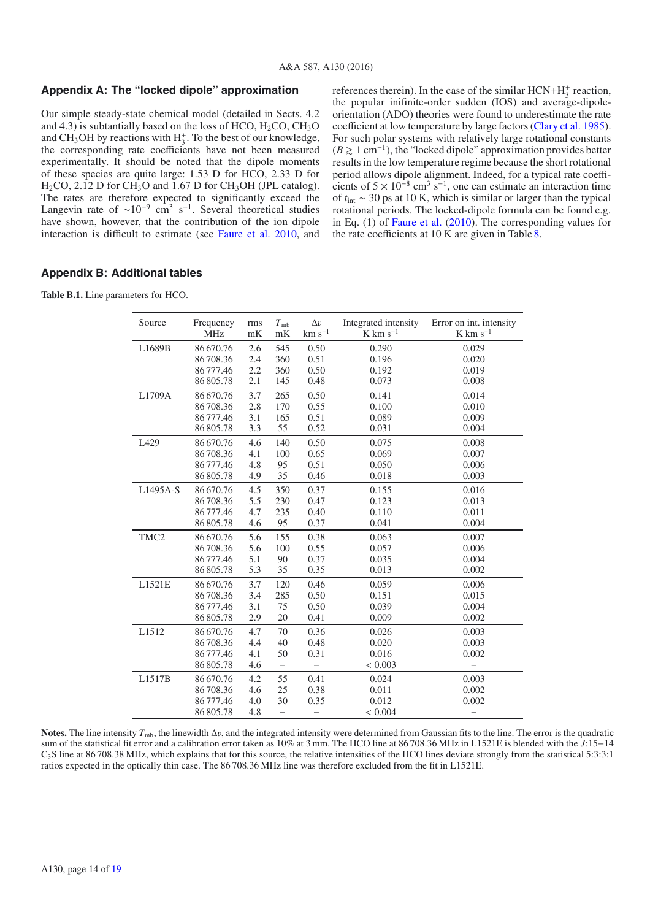### **Appendix A: The "locked dipole" approximation**

Our simple steady-state chemical model (detailed in Sects. 4.2 and 4.3) is subtantially based on the loss of HCO,  $H_2CO$ ,  $CH_3O$ and CH<sub>3</sub>OH by reactions with  $H_3^+$ . To the best of our knowledge, the corresponding rate coefficients have not been measured experimentally. It should be noted that the dipole moments of these species are quite large: 1.53 D for HCO, 2.33 D for  $H<sub>2</sub>CO$ , 2.12 D for CH<sub>3</sub>O and 1.67 D for CH<sub>3</sub>OH (JPL catalog). The rates are therefore expected to significantly exceed the Langevin rate of  $\sim 10^{-9}$  cm<sup>3</sup> s<sup>-1</sup>. Several theoretical studies have shown, however, that the contribution of the ion dipole interaction is difficult to estimate (see Faure et al. 2010, and

references therein). In the case of the similar  $HCN+H_3^+$  reaction, the popular inifinite-order sudden (IOS) and average-dipoleorientation (ADO) theories were found to underestimate the rate coefficient at low temperature by large factors (Clary et al. 1985). For such polar systems with relatively large rotational constants  $(B \ge 1 \text{ cm}^{-1})$ , the "locked dipole" approximation provides better results in the low temperature regime because the short rotational period allows dipole alignment. Indeed, for a typical rate coefficients of  $5 \times 10^{-8}$  cm<sup>3</sup> s<sup>-1</sup>, one can estimate an interaction time of *t*int ∼ 30 ps at 10 K, which is similar or larger than the typical rotational periods. The locked-dipole formula can be found e.g. in Eq. (1) of Faure et al. (2010). The corresponding values for the rate coefficients at 10 K are given in Table 8.

## **Appendix B: Additional tables**

**Table B.1.** Line parameters for HCO.

| Source           | Frequency  | rms | $T_{\rm mb}$             | $\Delta v$  | Integrated intensity   | Error on int. intensity |
|------------------|------------|-----|--------------------------|-------------|------------------------|-------------------------|
|                  | <b>MHz</b> | mK  | mK                       | $km s^{-1}$ | $K$ km s <sup>-1</sup> | $K$ km s <sup>-1</sup>  |
| L1689B           | 86 670.76  | 2.6 | 545                      | 0.50        | 0.290                  | 0.029                   |
|                  | 86708.36   | 2.4 | 360                      | 0.51        | 0.196                  | 0.020                   |
|                  | 86777.46   | 2.2 | 360                      | 0.50        | 0.192                  | 0.019                   |
|                  | 86 805.78  | 2.1 | 145                      | 0.48        | 0.073                  | 0.008                   |
| L1709A           | 86 670.76  | 3.7 | 265                      | 0.50        | 0.141                  | 0.014                   |
|                  | 86708.36   | 2.8 | 170                      | 0.55        | 0.100                  | 0.010                   |
|                  | 86 777.46  | 3.1 | 165                      | 0.51        | 0.089                  | 0.009                   |
|                  | 86805.78   | 3.3 | 55                       | 0.52        | 0.031                  | 0.004                   |
| L <sub>429</sub> | 86 670.76  | 4.6 | 140                      | 0.50        | 0.075                  | 0.008                   |
|                  | 86708.36   | 4.1 | 100                      | 0.65        | 0.069                  | 0.007                   |
|                  | 86 777.46  | 4.8 | 95                       | 0.51        | 0.050                  | 0.006                   |
|                  | 86 805.78  | 4.9 | 35                       | 0.46        | 0.018                  | 0.003                   |
| L1495A-S         | 86 670.76  | 4.5 | 350                      | 0.37        | 0.155                  | 0.016                   |
|                  | 86708.36   | 5.5 | 230                      | 0.47        | 0.123                  | 0.013                   |
|                  | 86 777.46  | 4.7 | 235                      | 0.40        | 0.110                  | 0.011                   |
|                  | 86 805.78  | 4.6 | 95                       | 0.37        | 0.041                  | 0.004                   |
| TMC <sub>2</sub> | 86 670.76  | 5.6 | 155                      | 0.38        | 0.063                  | 0.007                   |
|                  | 86708.36   | 5.6 | 100                      | 0.55        | 0.057                  | 0.006                   |
|                  | 86777.46   | 5.1 | 90                       | 0.37        | 0.035                  | 0.004                   |
|                  | 86 805.78  | 5.3 | 35                       | 0.35        | 0.013                  | 0.002                   |
| L1521E           | 86 670.76  | 3.7 | 120                      | 0.46        | 0.059                  | 0.006                   |
|                  | 86708.36   | 3.4 | 285                      | 0.50        | 0.151                  | 0.015                   |
|                  | 86 777.46  | 3.1 | 75                       | 0.50        | 0.039                  | 0.004                   |
|                  | 86 805.78  | 2.9 | 20                       | 0.41        | 0.009                  | 0.002                   |
| L1512            | 86 670.76  | 4.7 | 70                       | 0.36        | 0.026                  | 0.003                   |
|                  | 86708.36   | 4.4 | 40                       | 0.48        | 0.020                  | 0.003                   |
|                  | 86 777.46  | 4.1 | 50                       | 0.31        | 0.016                  | 0.002                   |
|                  | 86 805.78  | 4.6 | $\overline{\phantom{0}}$ |             | < 0.003                |                         |
| L1517B           | 86 670.76  | 4.2 | 55                       | 0.41        | 0.024                  | 0.003                   |
|                  | 86708.36   | 4.6 | 25                       | 0.38        | 0.011                  | 0.002                   |
|                  | 86777.46   | 4.0 | 30                       | 0.35        | 0.012                  | 0.002                   |
|                  | 86 805.78  | 4.8 | $\overline{\phantom{0}}$ |             | < 0.004                |                         |

**Notes.** The line intensity  $T_{\text{mb}}$ , the linewidth  $\Delta v$ , and the integrated intensity were determined from Gaussian fits to the line. The error is the quadratic sum of the statistical fit error and a calibration error taken as 10% at 3 mm. The HCO line at 86 708.36 MHz in L1521E is blended with the *J*:15−14  $C_3S$  line at 86 708.38 MHz, which explains that for this source, the relative intensities of the HCO lines deviate strongly from the statistical 5:3:3:1 ratios expected in the optically thin case. The 86 708.36 MHz line was therefore excluded from the fit in L1521E.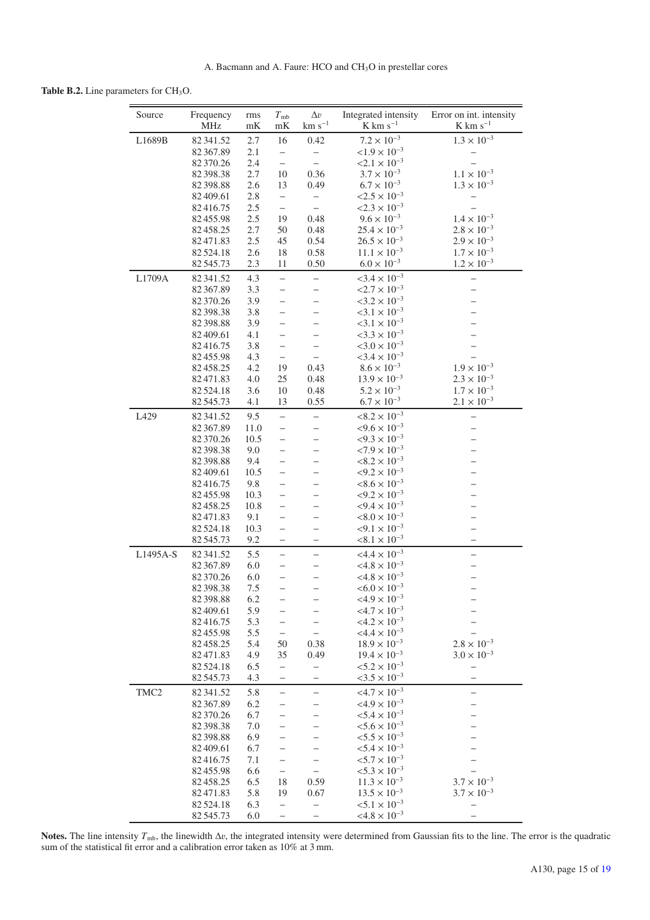### Table B.2. Line parameters for CH<sub>3</sub>O.

| Source           | Frequency<br><b>MHz</b> | rms<br>mK   | $T_{\rm mb}$<br>mK                                   | $\Delta v$<br>$km s^{-1}$ | Integrated intensity<br>$K \ km \ s^{-1}$                  | Error on int. intensity<br>$K \text{ km s}^{-1}$ |
|------------------|-------------------------|-------------|------------------------------------------------------|---------------------------|------------------------------------------------------------|--------------------------------------------------|
| L1689B           | 82341.52                | 2.7         | 16                                                   | 0.42                      | $7.2 \times 10^{-3}$                                       | $1.3 \times 10^{-3}$                             |
|                  | 82 367.89               | 2.1         | $\overline{\phantom{0}}$                             |                           | $< 1.9 \times 10^{-3}$                                     |                                                  |
|                  | 82 370.26               | 2.4         | $\overline{\phantom{0}}$                             | $\overline{\phantom{0}}$  | $< 2.1 \times 10^{-3}$                                     |                                                  |
|                  | 82 398.38               | 2.7         | 10                                                   | 0.36                      | $3.7 \times 10^{-3}$                                       | $1.1 \times 10^{-3}$                             |
|                  | 82 398.88<br>82 409.61  | 2.6<br>2.8  | 13                                                   | 0.49                      | $6.7 \times 10^{-3}$<br>$< 2.5 \times 10^{-3}$             | $1.3 \times 10^{-3}$                             |
|                  | 82416.75                | 2.5         | $\overline{\phantom{0}}$<br>$\overline{\phantom{0}}$ | $\overline{\phantom{0}}$  | $< 2.3 \times 10^{-3}$                                     |                                                  |
|                  | 82455.98                | 2.5         | 19                                                   | 0.48                      | $9.6 \times 10^{-3}$                                       | $1.4 \times 10^{-3}$                             |
|                  | 82458.25                | 2.7         | 50                                                   | 0.48                      | $25.4 \times 10^{-3}$                                      | $2.8 \times 10^{-3}$                             |
|                  | 82471.83                | 2.5         | 45                                                   | 0.54                      | $26.5 \times 10^{-3}$                                      | $2.9 \times 10^{-3}$                             |
|                  | 82524.18                | 2.6         | 18                                                   | 0.58                      | $11.1 \times 10^{-3}$                                      | $1.7 \times 10^{-3}$                             |
|                  | 82545.73                | 2.3         | 11                                                   | 0.50                      | $6.0 \times 10^{-3}$                                       | $1.2 \times 10^{-3}$                             |
| L1709A           | 82 341.52               | 4.3         | $\overline{\phantom{0}}$                             |                           | $<$ 3.4 $\times$ 10 <sup>-3</sup>                          |                                                  |
|                  | 82 367.89               | 3.3         | —                                                    |                           | $< 2.7 \times 10^{-3}$                                     | -                                                |
|                  | 82 370.26               | 3.9         | $\overline{\phantom{0}}$                             |                           | $< 3.2 \times 10^{-3}$                                     |                                                  |
|                  | 82 398.38               | 3.8         | -                                                    |                           | $<3.1 \times 10^{-3}$                                      |                                                  |
|                  | 82 398.88               | 3.9         | -                                                    |                           | $< 3.1 \times 10^{-3}$                                     |                                                  |
|                  | 82 409.61<br>82416.75   | 4.1<br>3.8  | —<br>—                                               |                           | $<$ 3.3 $\times$ 10 <sup>-3</sup><br>$<3.0 \times 10^{-3}$ |                                                  |
|                  | 82455.98                | 4.3         | $\qquad \qquad -$                                    | $\equiv$                  | $<$ 3.4 $\times$ 10 <sup>-3</sup>                          |                                                  |
|                  | 82458.25                | 4.2         | 19                                                   | 0.43                      | $8.6 \times 10^{-3}$                                       | $1.9 \times 10^{-3}$                             |
|                  | 82471.83                | 4.0         | 25                                                   | 0.48                      | $13.9 \times 10^{-3}$                                      | $2.3 \times 10^{-3}$                             |
|                  | 82 5 24.18              | 3.6         | 10                                                   | 0.48                      | $5.2 \times 10^{-3}$                                       | $1.7\times10^{-3}$                               |
|                  | 82545.73                | 4.1         | 13                                                   | 0.55                      | $6.7 \times 10^{-3}$                                       | $2.1 \times 10^{-3}$                             |
| L429             | 82 341.52               | 9.5         | $\overline{a}$                                       | $\overline{\phantom{0}}$  | $< 8.2 \times 10^{-3}$                                     | $\overline{\phantom{0}}$                         |
|                  | 82 367.89               | 11.0        | $\qquad \qquad -$                                    |                           | $< 9.6 \times 10^{-3}$                                     | —                                                |
|                  | 82 370.26               | 10.5        | $\overline{\phantom{0}}$                             |                           | $< 9.3 \times 10^{-3}$                                     | $\overline{\phantom{0}}$                         |
|                  | 82 398.38               | 9.0         | $\overline{\phantom{0}}$                             |                           | $< 7.9 \times 10^{-3}$                                     |                                                  |
|                  | 82 398.88               | 9.4         | $\overline{\phantom{0}}$                             |                           | $< 8.2 \times 10^{-3}$<br>$< 9.2 \times 10^{-3}$           |                                                  |
|                  | 82 409.61<br>82416.75   | 10.5<br>9.8 | —<br>—                                               |                           | $< 8.6 \times 10^{-3}$                                     |                                                  |
|                  | 82455.98                | 10.3        | $\overline{\phantom{0}}$                             |                           | $< 9.2 \times 10^{-3}$                                     |                                                  |
|                  | 82458.25                | 10.8        | —                                                    |                           | $< 9.4 \times 10^{-3}$                                     |                                                  |
|                  | 82471.83                | 9.1         | $\overline{\phantom{0}}$                             |                           | $< 8.0 \times 10^{-3}$                                     | $\overline{\phantom{0}}$                         |
|                  | 82 5 24.18              | 10.3        | $\overline{\phantom{0}}$                             |                           | $< 9.1 \times 10^{-3}$                                     |                                                  |
|                  | 82545.73                | 9.2         | —                                                    |                           | $< 8.1 \times 10^{-3}$                                     | -                                                |
| L1495A-S         | 82 341.52               | 5.5         | $\overline{\phantom{0}}$                             | -                         | $<4.4 \times 10^{-3}$                                      | -                                                |
|                  | 82 367.89               | 6.0         | -                                                    |                           | $<4.8 \times 10^{-3}$                                      |                                                  |
|                  | 82 370.26               | 6.0         |                                                      |                           | $<4.8 \times 10^{-3}$                                      |                                                  |
|                  | 82 398.38<br>82 398.88  | 7.5<br>6.2  |                                                      |                           | $< 6.0 \times 10^{-3}$<br>$<4.9 \times 10^{-3}$            |                                                  |
|                  | 82 409.61               | 5.9         | -                                                    |                           | $<4.7\times10^{-3}$                                        |                                                  |
|                  | 82416.75                | 5.3         |                                                      |                           | $<4.2 \times 10^{-3}$                                      |                                                  |
|                  | 82455.98                | 5.5         | —                                                    |                           | $<$ 4.4 $\times$ 10 <sup>-3</sup>                          |                                                  |
|                  | 82458.25                | 5.4         | 50                                                   | 0.38                      | $18.9 \times 10^{-3}$                                      | $2.8 \times 10^{-3}$                             |
|                  | 82471.83                | 4.9         | 35                                                   | 0.49                      | $19.4 \times 10^{-3}$                                      | $3.0 \times 10^{-3}$                             |
|                  | 82524.18                | 6.5         | $\qquad \qquad -$                                    | $\overline{\phantom{0}}$  | $< 5.2 \times 10^{-3}$                                     | $\qquad \qquad -$                                |
|                  | 82545.73                | 4.3         | $\overline{\phantom{0}}$                             |                           | $< 3.5 \times 10^{-3}$                                     |                                                  |
| TMC <sub>2</sub> | 82341.52                | 5.8         | $\overline{\phantom{0}}$                             |                           | $<4.7\times10^{-3}$                                        |                                                  |
|                  | 82367.89                | 6.2         | -                                                    |                           | $<4.9 \times 10^{-3}$                                      | -                                                |
|                  | 82370.26<br>82 398.38   | 6.7<br>7.0  |                                                      |                           | $< 5.4 \times 10^{-3}$<br>$< 5.6 \times 10^{-3}$           |                                                  |
|                  | 82 398.88               | 6.9         |                                                      |                           | $< 5.5 \times 10^{-3}$                                     |                                                  |
|                  | 82409.61                | 6.7         |                                                      |                           | $< 5.4 \times 10^{-3}$                                     |                                                  |
|                  | 82416.75                | 7.1         | $\overline{\phantom{0}}$                             |                           | $< 5.7 \times 10^{-3}$                                     |                                                  |
|                  | 82455.98                | 6.6         | —                                                    |                           | $< 5.3 \times 10^{-3}$                                     |                                                  |
|                  | 82458.25                | 6.5         | 18                                                   | 0.59                      | $11.3 \times 10^{-3}$                                      | $3.7 \times 10^{-3}$                             |
|                  | 82471.83                | 5.8         | 19                                                   | 0.67                      | $13.5 \times 10^{-3}$                                      | $3.7 \times 10^{-3}$                             |
|                  | 82 5 24.18              | 6.3         | $\qquad \qquad -$                                    |                           | ${<}5.1 \times 10^{-3}$                                    | —                                                |
|                  | 82545.73                | 6.0         | —                                                    |                           | $< 4.8 \times 10^{-3}$                                     |                                                  |

**Notes.** The line intensity  $T_{\text{mb}}$ , the linewidth  $\Delta v$ , the integrated intensity were determined from Gaussian fits to the line. The error is the quadratic sum of the statistical fit error and a calibration error take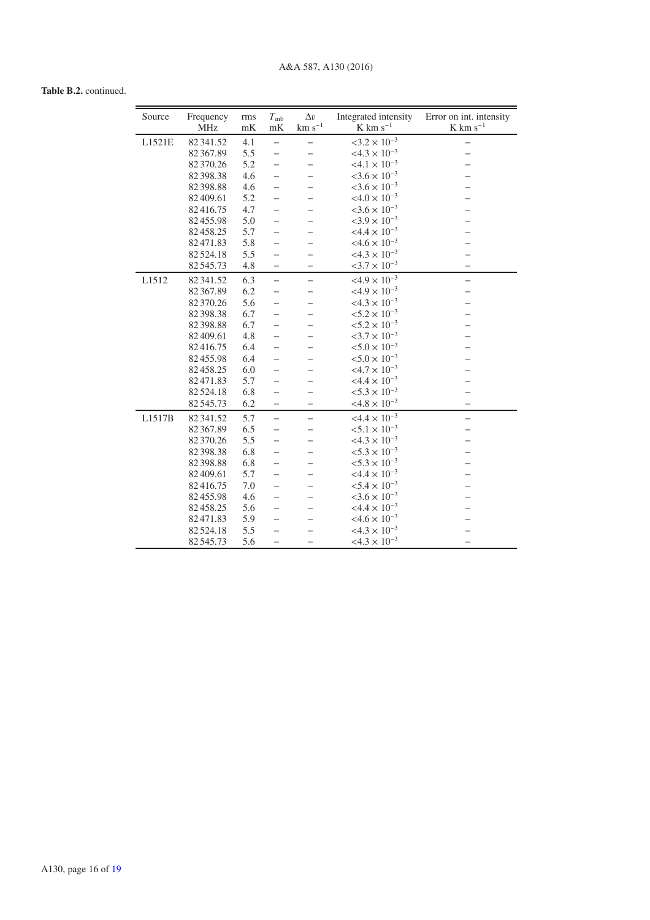# **Table B.2.** continued.

| Source | Frequency<br><b>MHz</b> | rms<br>mK | $T_{\rm mb}$<br>$\mathrm{m}\mathrm{K}$ | $\Delta v$<br>$\rm km~s^{-1}$ | Integrated intensity<br>$K$ km s <sup>-1</sup> | Error on int. intensity<br>$\rm K$ $\rm km~s^{-1}$ |
|--------|-------------------------|-----------|----------------------------------------|-------------------------------|------------------------------------------------|----------------------------------------------------|
| L1521E | 82341.52                | 4.1       | $\qquad \qquad -$                      |                               | $<3.2 \times 10^{-3}$                          | $\overline{\phantom{0}}$                           |
|        | 82 367.89               | 5.5       | $\overline{\phantom{0}}$               |                               | $< 4.3 \times 10^{-3}$                         |                                                    |
|        | 82 370.26               | 5.2       | $\overline{\phantom{0}}$               |                               | $<4.1 \times 10^{-3}$                          |                                                    |
|        | 82 398.38               | 4.6       |                                        |                               | $<3.6 \times 10^{-3}$                          |                                                    |
|        | 82 398.88               | 4.6       | —                                      |                               | $<$ 3.6 $\times$ 10 <sup>-3</sup>              |                                                    |
|        | 82 409.61               | 5.2       |                                        |                               | $<4.0 \times 10^{-3}$                          |                                                    |
|        | 82416.75                | 4.7       |                                        |                               | $<3.6 \times 10^{-3}$                          |                                                    |
|        | 82455.98                | 5.0       |                                        |                               | $<3.9 \times 10^{-3}$                          |                                                    |
|        | 82458.25                | 5.7       |                                        |                               | $<4.4 \times 10^{-3}$                          |                                                    |
|        | 82471.83                | 5.8       |                                        |                               | $<4.6 \times 10^{-3}$                          |                                                    |
|        | 82 524.18               | 5.5       | $\overline{\phantom{0}}$               |                               | $<4.3 \times 10^{-3}$                          |                                                    |
|        | 82545.73                | 4.8       | -                                      | -                             | $< 3.7 \times 10^{-3}$                         |                                                    |
| L1512  | 82341.52                | 6.3       | $\overline{\phantom{0}}$               | $\overline{\phantom{0}}$      | $<4.9 \times 10^{-3}$                          |                                                    |
|        | 82 367.89               | 6.2       |                                        |                               | $<4.9 \times 10^{-3}$                          |                                                    |
|        | 82 370.26               | 5.6       |                                        |                               | $<4.3 \times 10^{-3}$                          |                                                    |
|        | 82 398.38               | 6.7       | —                                      |                               | $< 5.2 \times 10^{-3}$                         |                                                    |
|        | 82 398.88               | 6.7       | —                                      |                               | $< 5.2 \times 10^{-3}$                         |                                                    |
|        | 82409.61                | 4.8       | —                                      |                               | $< 3.7 \times 10^{-3}$                         |                                                    |
|        | 82416.75                | 6.4       |                                        |                               | $< 5.0 \times 10^{-3}$                         |                                                    |
|        | 82455.98                | 6.4       | —                                      |                               | $< 5.0 \times 10^{-3}$                         |                                                    |
|        | 82458.25                | 6.0       | —                                      |                               | $<4.7 \times 10^{-3}$                          |                                                    |
|        | 82471.83                | 5.7       |                                        |                               | $<4.4 \times 10^{-3}$                          |                                                    |
|        | 82 524.18               | 6.8       | $\overline{\phantom{0}}$               |                               | $< 5.3 \times 10^{-3}$                         |                                                    |
|        | 82545.73                | 6.2       | $\overline{\phantom{0}}$               | -                             | $<4.8 \times 10^{-3}$                          |                                                    |
| L1517B | 82 341.52               | 5.7       | $\overline{\phantom{0}}$               | $\overline{\phantom{0}}$      | $<4.4 \times 10^{-3}$                          | —                                                  |
|        | 82 367.89               | 6.5       | —                                      |                               | $< 5.1 \times 10^{-3}$                         |                                                    |
|        | 82 370.26               | 5.5       | —                                      |                               | $<4.3 \times 10^{-3}$                          |                                                    |
|        | 82 398.38               | 6.8       |                                        |                               | $< 5.3 \times 10^{-3}$                         |                                                    |
|        | 82 398.88               | 6.8       | —                                      |                               | $< 5.3 \times 10^{-3}$                         |                                                    |
|        | 82 409.61               | 5.7       | -                                      |                               | $<4.4 \times 10^{-3}$                          |                                                    |
|        | 82416.75                | 7.0       | $\overline{\phantom{0}}$               |                               | $< 5.4 \times 10^{-3}$                         |                                                    |
|        | 82455.98                | 4.6       | —                                      |                               | $<3.6 \times 10^{-3}$                          |                                                    |
|        | 82458.25                | 5.6       | $\overline{\phantom{0}}$               |                               | $<4.4 \times 10^{-3}$                          |                                                    |
|        | 82471.83                | 5.9       |                                        |                               | $<4.6 \times 10^{-3}$                          |                                                    |
|        | 82 524.18               | 5.5       |                                        |                               | $<4.3 \times 10^{-3}$                          |                                                    |
|        | 82545.73                | 5.6       |                                        |                               | $<4.3 \times 10^{-3}$                          |                                                    |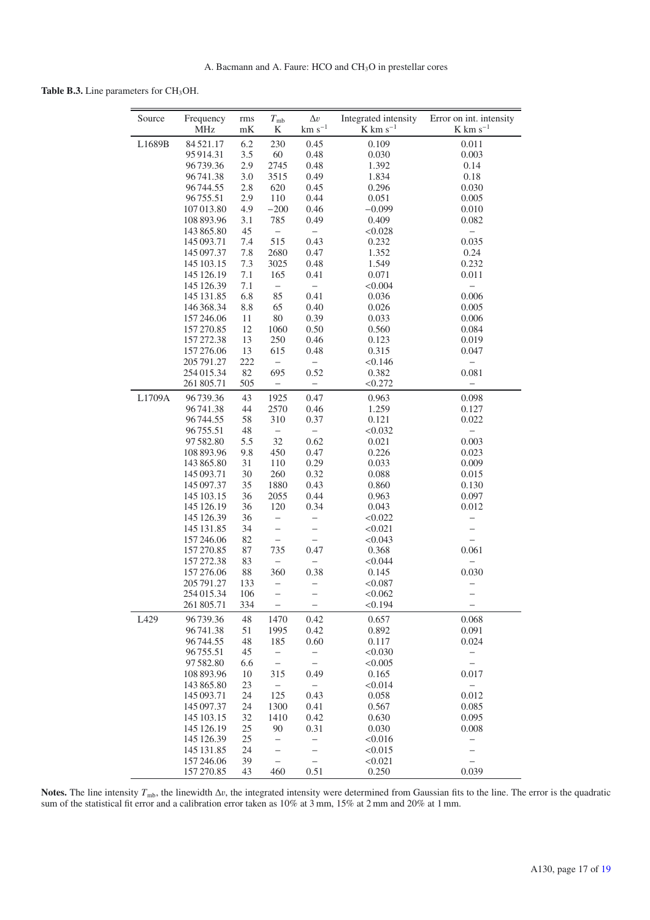Table B.3. Line parameters for CH<sub>3</sub>OH.

| Source | Frequency<br><b>MHz</b>  | rms<br>mK  | $T_{\rm mb}$<br>K        | $\Delta v$<br>$km s^{-1}$ | Integrated intensity<br>$K$ km s <sup>-1</sup> | Error on int. intensity<br>$K \text{ km s}^{-1}$ |
|--------|--------------------------|------------|--------------------------|---------------------------|------------------------------------------------|--------------------------------------------------|
|        | 84521.17                 |            | 230                      |                           |                                                |                                                  |
| L1689B |                          | 6.2<br>3.5 | 60                       | 0.45<br>0.48              | 0.109                                          | 0.011                                            |
|        | 95 914.31<br>96739.36    | 2.9        | 2745                     | 0.48                      | 0.030<br>1.392                                 | 0.003<br>0.14                                    |
|        | 96741.38                 | 3.0        | 3515                     | 0.49                      | 1.834                                          | 0.18                                             |
|        | 96744.55                 | 2.8        | 620                      | 0.45                      | 0.296                                          | 0.030                                            |
|        | 96755.51                 | 2.9        | 110                      | 0.44                      | 0.051                                          | 0.005                                            |
|        | 107 013.80               | 4.9        | $-200$                   | 0.46                      | $-0.099$                                       | 0.010                                            |
|        | 108 893.96               | 3.1        | 785                      | 0.49                      | 0.409                                          | 0.082                                            |
|        | 143 865.80               | 45         | $\overline{\phantom{0}}$ | $\qquad \qquad -$         | < 0.028                                        |                                                  |
|        | 145 093.71               | 7.4        | 515                      | 0.43                      | 0.232                                          | 0.035                                            |
|        | 145 097.37               | 7.8        | 2680                     | 0.47                      | 1.352                                          | 0.24                                             |
|        | 145 103.15               | 7.3        | 3025                     | 0.48                      | 1.549                                          | 0.232                                            |
|        | 145 126.19               | 7.1        | 165                      | 0.41                      | 0.071                                          | 0.011                                            |
|        | 145 126.39               | 7.1        | -                        | $\overline{\phantom{0}}$  | < 0.004                                        | $\overline{\phantom{0}}$                         |
|        | 145 131.85               | 6.8        | 85                       | 0.41                      | 0.036                                          | 0.006                                            |
|        | 146 368.34               | 8.8        | 65                       | 0.40                      | 0.026                                          | 0.005                                            |
|        | 157 246.06               | 11         | 80                       | 0.39                      | 0.033                                          | 0.006                                            |
|        | 157 270.85               | 12         | 1060                     | 0.50                      | 0.560                                          | 0.084                                            |
|        | 157 272.38               | 13         | 250                      | 0.46                      | 0.123                                          | 0.019                                            |
|        | 157 276.06               | 13         | 615                      | 0.48                      | 0.315                                          | 0.047                                            |
|        | 205 791.27               | 222        | $\overline{\phantom{0}}$ | $\overline{\phantom{0}}$  | < 0.146                                        |                                                  |
|        | 254 015.34               | 82         | 695                      | 0.52                      | 0.382                                          | 0.081                                            |
|        | 261 805.71               | 505        |                          | -                         | < 0.272                                        |                                                  |
| L1709A | 96739.36                 | 43         | 1925                     | 0.47                      | 0.963                                          | 0.098                                            |
|        | 96 741.38                | 44         | 2570                     | 0.46                      | 1.259                                          | 0.127                                            |
|        | 96744.55                 | 58         | 310                      | 0.37                      | 0.121                                          | 0.022                                            |
|        | 96755.51                 | 48         | $\overline{\phantom{0}}$ |                           | < 0.032                                        |                                                  |
|        | 97 582.80                | 5.5        | 32                       | 0.62                      | 0.021                                          | 0.003                                            |
|        | 108 893.96               | 9.8        | 450                      | 0.47                      | 0.226                                          | 0.023                                            |
|        | 143 865.80               | 31         | 110                      | 0.29                      | 0.033                                          | 0.009                                            |
|        | 145 093.71               | 30         | 260                      | 0.32                      | 0.088                                          | 0.015                                            |
|        | 145 097.37               | 35         | 1880                     | 0.43                      | 0.860                                          | 0.130                                            |
|        | 145 103.15               | 36         | 2055                     | 0.44                      | 0.963                                          | 0.097                                            |
|        | 145 126.19               | 36         | 120                      | 0.34                      | 0.043                                          | 0.012                                            |
|        | 145 126.39               | 36         | $\qquad \qquad -$        | $\overline{\phantom{0}}$  | < 0.022                                        | $\qquad \qquad -$                                |
|        | 145 131.85               | 34         | $\overline{\phantom{0}}$ | $\qquad \qquad -$         | < 0.021                                        | $\qquad \qquad -$                                |
|        | 157 246.06               | 82         | $\overline{\phantom{0}}$ | $\overline{\phantom{0}}$  | < 0.043                                        |                                                  |
|        | 157 270.85               | 87         | 735                      | 0.47                      | 0.368                                          | 0.061                                            |
|        | 157 272.38               | 83         |                          |                           | < 0.044                                        |                                                  |
|        | 157 276.06               | $88\,$     | 360                      | 0.38                      | 0.145                                          | 0.030                                            |
|        | 205 791.27               | 133        | —                        | $\overline{\phantom{0}}$  | < 0.087                                        | $\qquad \qquad -$                                |
|        | 254 015.34               | 106        | $\overline{\phantom{0}}$ |                           | < 0.062                                        |                                                  |
|        | 261 805.71               | 334        | -                        | -                         | < 0.194                                        | -                                                |
| L429   | 96739.36                 | 48         | 1470                     | 0.42                      | 0.657                                          | 0.068                                            |
|        | 96741.38                 | 51         | 1995                     | 0.42                      | 0.892                                          | 0.091                                            |
|        | 96744.55                 | 48         | 185                      | 0.60                      | 0.117                                          | 0.024                                            |
|        | 96755.51                 | 45         | -                        | -                         | < 0.030                                        | -                                                |
|        | 97 582.80                | 6.6        | $\overline{\phantom{0}}$ | $\overline{\phantom{0}}$  | < 0.005                                        | $\qquad \qquad -$                                |
|        | 108 893.96               | 10         | 315                      | 0.49                      | 0.165                                          | 0.017                                            |
|        | 143 865.80               | 23         | $\overline{\phantom{0}}$ | $\overline{\phantom{0}}$  | < 0.014                                        | $\qquad \qquad -$                                |
|        | 145 093.71               | 24         | 125                      | 0.43                      | 0.058                                          | 0.012                                            |
|        | 145 097.37               | 24         | 1300                     | 0.41                      | 0.567                                          | 0.085                                            |
|        | 145 103.15               | 32         | 1410                     | 0.42                      | 0.630                                          | 0.095                                            |
|        | 145 126.19               | 25         | 90                       | 0.31                      | 0.030                                          | 0.008                                            |
|        | 145 126.39<br>145 131.85 | 25<br>24   | —<br>-                   | $\overline{\phantom{0}}$  | < 0.016<br>< 0.015                             | —                                                |
|        | 157 246.06               | 39         | $\equiv$                 | -<br>$\equiv$             | < 0.021                                        | -<br>$\overline{\phantom{0}}$                    |
|        | 157 270.85               | 43         | 460                      | 0.51                      | 0.250                                          | 0.039                                            |

**Notes.** The line intensity  $T_{\text{mb}}$ , the linewidth  $\Delta v$ , the integrated intensity were determined from Gaussian fits to the line. The error is the quadratic sum of the statistical fit error and a calibration error take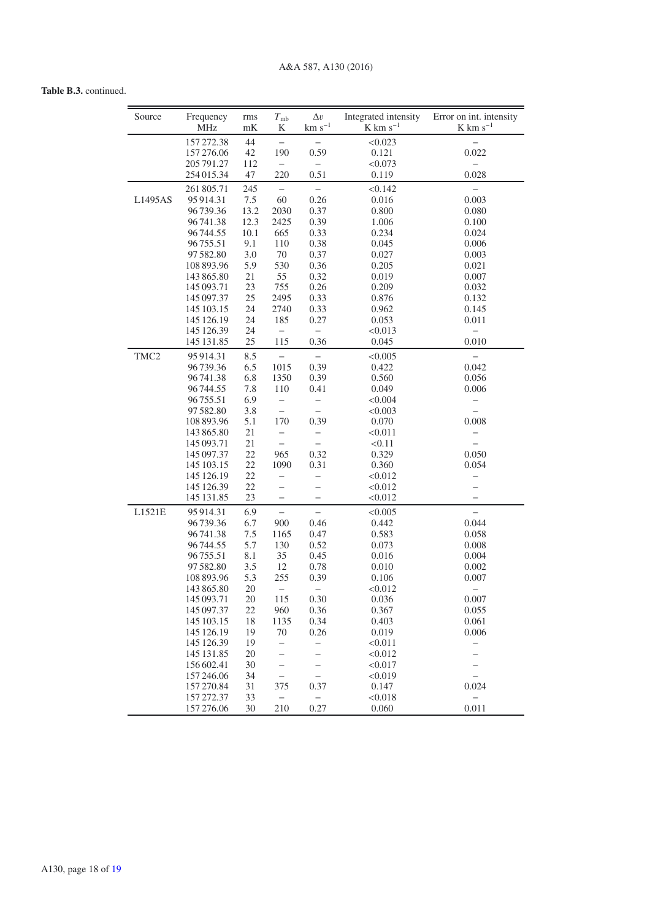# **Table B.3.** continued.

| Source           | Frequency<br><b>MHz</b>  | rms<br>mK | $T_{\rm mb}$<br>K                                    | $\Delta v$<br>$\rm km~s^{-1}$    | Integrated intensity<br>$K \text{ km s}^{-1}$ | Error on int. intensity<br>$K$ km s <sup>-1</sup>    |
|------------------|--------------------------|-----------|------------------------------------------------------|----------------------------------|-----------------------------------------------|------------------------------------------------------|
|                  | 157 272.38               | 44        | $\equiv$                                             |                                  | < 0.023                                       |                                                      |
|                  | 157 276.06               | 42        | 190                                                  | 0.59                             | 0.121                                         | 0.022                                                |
|                  | 205 791.27               | 112       | $\overline{\phantom{0}}$                             | $\overline{\phantom{0}}$         | < 0.073                                       |                                                      |
|                  | 254 015.34               | 47        | 220                                                  | 0.51                             | 0.119                                         | 0.028                                                |
|                  | 261 805.71               | 245       | -                                                    | -                                | < 0.142                                       |                                                      |
| L1495AS          | 95914.31                 | 7.5       | 60                                                   | 0.26                             | 0.016                                         | 0.003                                                |
|                  | 96739.36                 | 13.2      | 2030                                                 | 0.37                             | 0.800                                         | 0.080                                                |
|                  | 96741.38                 | 12.3      | 2425                                                 | 0.39                             | 1.006                                         | 0.100                                                |
|                  | 96744.55                 | 10.1      | 665                                                  | 0.33                             | 0.234                                         | 0.024                                                |
|                  | 96755.51                 | 9.1       | 110                                                  | 0.38                             | 0.045                                         | 0.006                                                |
|                  | 97 582.80                | 3.0       | 70                                                   | 0.37                             | 0.027                                         | 0.003                                                |
|                  | 108 893.96               | 5.9       | 530                                                  | 0.36                             | 0.205                                         | 0.021                                                |
|                  | 143 865.80               | 21        | 55                                                   | 0.32                             | 0.019                                         | 0.007                                                |
|                  | 145 093.71               | 23        | 755                                                  | 0.26                             | 0.209                                         | 0.032                                                |
|                  | 145 097.37               | 25        | 2495                                                 | 0.33                             | 0.876                                         | 0.132                                                |
|                  | 145 103.15               | 24        | 2740                                                 | 0.33                             | 0.962                                         | 0.145                                                |
|                  | 145 126.19<br>145 126.39 | 24<br>24  | 185<br>$\overline{\phantom{0}}$                      | 0.27                             | 0.053<br>< 0.013                              | 0.011<br>$\overline{\phantom{0}}$                    |
|                  | 145 131.85               | 25        | 115                                                  | $\overline{\phantom{0}}$<br>0.36 | 0.045                                         | 0.010                                                |
| TMC <sub>2</sub> | 95914.31                 | 8.5       |                                                      | $\overline{\phantom{0}}$         | < 0.005                                       | $\overline{\phantom{0}}$                             |
|                  | 96739.36                 | 6.5       | 1015                                                 | 0.39                             | 0.422                                         | 0.042                                                |
|                  | 96741.38                 | 6.8       | 1350                                                 | 0.39                             | 0.560                                         | 0.056                                                |
|                  | 96744.55                 | 7.8       | 110                                                  | 0.41                             | 0.049                                         | 0.006                                                |
|                  | 96755.51                 | 6.9       | $\overline{\phantom{0}}$                             | -                                | < 0.004                                       | -                                                    |
|                  | 97 582.80                | 3.8       | $\equiv$                                             | $\equiv$                         | < 0.003                                       | $\overline{\phantom{0}}$                             |
|                  | 108 893.96               | 5.1       | 170                                                  | 0.39                             | 0.070                                         | 0.008                                                |
|                  | 143 865.80               | 21        | $\overline{\phantom{0}}$                             | -                                | < 0.011                                       | -                                                    |
|                  | 145 093.71               | 21        | $\qquad \qquad -$                                    | $\overline{\phantom{0}}$         | < 0.11                                        | $\overline{\phantom{0}}$                             |
|                  | 145 097.37               | 22        | 965                                                  | 0.32                             | 0.329                                         | 0.050                                                |
|                  | 145 103.15<br>145 126.19 | 22<br>22  | 1090                                                 | 0.31                             | 0.360                                         | 0.054                                                |
|                  | 145 126.39               | 22        | $\overline{\phantom{0}}$<br>$\overline{\phantom{0}}$ | —<br>—                           | < 0.012<br>< 0.012                            | $\overline{\phantom{0}}$<br>$\overline{\phantom{0}}$ |
|                  | 145 131.85               | 23        | $\overline{\phantom{0}}$                             | -                                | < 0.012                                       |                                                      |
| L1521E           | 95914.31                 | 6.9       | $\equiv$                                             | $\equiv$                         | < 0.005                                       | $\equiv$                                             |
|                  | 96739.36                 | 6.7       | 900                                                  | 0.46                             | 0.442                                         | 0.044                                                |
|                  | 96741.38                 | 7.5       | 1165                                                 | 0.47                             | 0.583                                         | 0.058                                                |
|                  | 96744.55                 | 5.7       | 130                                                  | 0.52                             | 0.073                                         | 0.008                                                |
|                  | 96755.51                 | 8.1       | 35                                                   | 0.45                             | 0.016                                         | 0.004                                                |
|                  | 97 582.80                | 3.5       | 12                                                   | 0.78                             | 0.010                                         | 0.002                                                |
|                  | 108 893.96               | 5.3       | 255                                                  | 0.39                             | 0.106                                         | 0.007                                                |
|                  | 143 865.80               | 20        | $\overline{\phantom{0}}$                             |                                  | < 0.012                                       | $\overline{\phantom{0}}$                             |
|                  | 145 093.71               | 20        | 115                                                  | 0.30                             | 0.036                                         | 0.007                                                |
|                  | 145 097.37               | 22        | 960                                                  | 0.36                             | 0.367                                         | 0.055                                                |
|                  | 145 103.15               | 18        | 1135                                                 | 0.34                             | 0.403                                         | 0.061                                                |
|                  | 145 126.19               | 19        | 70                                                   | 0.26                             | 0.019                                         | 0.006                                                |
|                  | 145 126.39               | 19<br>20  | $\overline{\phantom{0}}$                             |                                  | < 0.011<br>< 0.012                            | -                                                    |
|                  | 145 131.85<br>156 602.41 | 30        | $\overline{\phantom{0}}$<br>$\overline{\phantom{0}}$ | $\overline{\phantom{0}}$         | < 0.017                                       |                                                      |
|                  | 157 246.06               | 34        | $\overline{\phantom{0}}$                             |                                  | < 0.019                                       | $\overline{\phantom{0}}$                             |
|                  | 157 270.84               | 31        | 375                                                  | 0.37                             | 0.147                                         | 0.024                                                |
|                  | 157 272.37               | 33        |                                                      |                                  | < 0.018                                       |                                                      |
|                  | 157 276.06               | 30        | 210                                                  | 0.27                             | 0.060                                         | 0.011                                                |